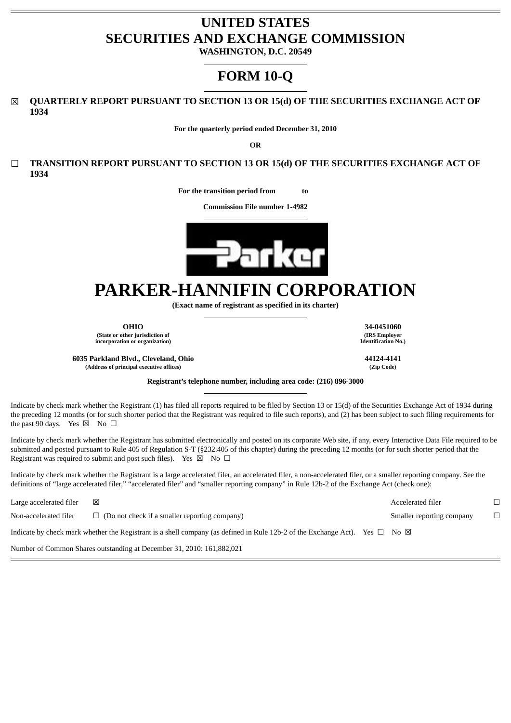## **UNITED STATES SECURITIES AND EXCHANGE COMMISSION**

**WASHINGTON, D.C. 20549**

# **FORM 10-Q**

☒ **QUARTERLY REPORT PURSUANT TO SECTION 13 OR 15(d) OF THE SECURITIES EXCHANGE ACT OF 1934**

**For the quarterly period ended December 31, 2010**

**OR**

☐ **TRANSITION REPORT PURSUANT TO SECTION 13 OR 15(d) OF THE SECURITIES EXCHANGE ACT OF 1934**

**For the transition period from to** 

**Commission File number 1-4982**



# **PARKER-HANNIFIN CORPORATION**

**(Exact name of registrant as specified in its charter)**

**OHIO 34-0451060 (State or other jurisdiction of incorporation or organization)**

**6035 Parkland Blvd., Cleveland, Ohio 44124-4141 (Address of principal executive offices) (Zip Code)**

**Identification No.)**

**(IRS Employer**

**Registrant's telephone number, including area code: (216) 896-3000**

Indicate by check mark whether the Registrant (1) has filed all reports required to be filed by Section 13 or 15(d) of the Securities Exchange Act of 1934 during the preceding 12 months (or for such shorter period that the Registrant was required to file such reports), and (2) has been subject to such filing requirements for the past 90 days. Yes  $\boxtimes$  No  $\Box$ 

Indicate by check mark whether the Registrant has submitted electronically and posted on its corporate Web site, if any, every Interactive Data File required to be submitted and posted pursuant to Rule 405 of Regulation S-T (§232.405 of this chapter) during the preceding 12 months (or for such shorter period that the Registrant was required to submit and post such files). Yes  $\boxtimes$  No  $\Box$ 

Indicate by check mark whether the Registrant is a large accelerated filer, an accelerated filer, a non-accelerated filer, or a smaller reporting company. See the definitions of "large accelerated filer," "accelerated filer" and "smaller reporting company" in Rule 12b-2 of the Exchange Act (check one):

| Large accelerated filer | ⊠                                                                                                                                          | Accelerated filer         |  |
|-------------------------|--------------------------------------------------------------------------------------------------------------------------------------------|---------------------------|--|
| Non-accelerated filer   | $\Box$ (Do not check if a smaller reporting company)                                                                                       | Smaller reporting company |  |
|                         | Indicate by check mark whether the Registrant is a shell company (as defined in Rule 12b-2 of the Exchange Act). Yes $\Box$ No $\boxtimes$ |                           |  |

Number of Common Shares outstanding at December 31, 2010: 161,882,021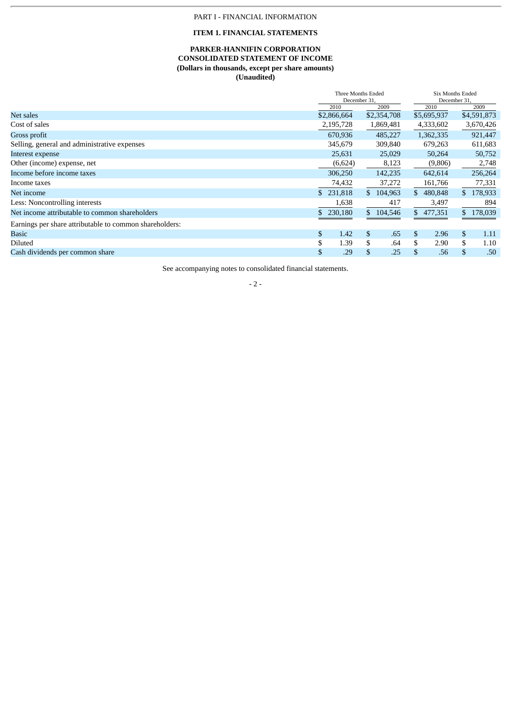## PART I - FINANCIAL INFORMATION

## **ITEM 1. FINANCIAL STATEMENTS**

#### **PARKER-HANNIFIN CORPORATION CONSOLIDATED STATEMENT OF INCOME (Dollars in thousands, except per share amounts) (Unaudited)**

|                                                         |               | Three Months Ended<br>December 31, |     |             | <b>Six Months Ended</b><br>December 31, |             |                |             |
|---------------------------------------------------------|---------------|------------------------------------|-----|-------------|-----------------------------------------|-------------|----------------|-------------|
|                                                         |               | 2010                               |     | 2009        |                                         | 2010        |                | 2009        |
| Net sales                                               |               | \$2,866,664                        |     | \$2,354,708 |                                         | \$5,695,937 |                | \$4,591,873 |
| Cost of sales                                           |               | 2,195,728                          |     | 1,869,481   |                                         | 4,333,602   |                | 3,670,426   |
| Gross profit                                            |               | 670,936                            |     | 485,227     |                                         | 1,362,335   |                | 921,447     |
| Selling, general and administrative expenses            |               | 345,679                            |     | 309,840     |                                         | 679,263     |                | 611,683     |
| Interest expense                                        |               | 25,631                             |     | 25,029      |                                         | 50,264      |                | 50,752      |
| Other (income) expense, net                             |               | (6,624)                            |     | 8,123       |                                         | (9,806)     |                | 2,748       |
| Income before income taxes                              |               | 306,250                            |     | 142,235     |                                         | 642,614     |                | 256,264     |
| Income taxes                                            |               | 74,432                             |     | 37,272      |                                         | 161,766     |                | 77,331      |
| Net income                                              | $\mathbf{s}$  | 231,818                            |     | \$104,963   | $\mathbb{S}^-$                          | 480,848     |                | \$178,933   |
| Less: Noncontrolling interests                          |               | 1,638                              |     | 417         |                                         | 3,497       |                | 894         |
| Net income attributable to common shareholders          | $\mathcal{S}$ | 230,180                            |     | \$104,546   | \$.                                     | 477,351     |                | 178,039     |
| Earnings per share attributable to common shareholders: |               |                                    |     |             |                                         |             |                |             |
| Basic                                                   | \$            | 1.42                               | \$. | .65         | \$                                      | 2.96        | $\mathfrak{S}$ | 1.11        |
| Diluted                                                 | \$            | 1.39                               |     | .64         | \$                                      | 2.90        | \$             | 1.10        |
| Cash dividends per common share                         | \$            | .29                                |     | .25         | D                                       | .56         | \$             | .50         |

See accompanying notes to consolidated financial statements.

<sup>- 2 -</sup>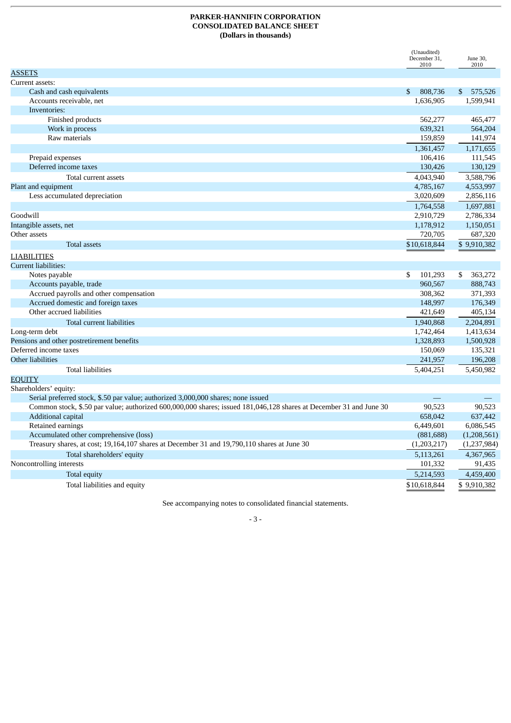## **PARKER-HANNIFIN CORPORATION CONSOLIDATED BALANCE SHEET (Dollars in thousands)**

|                                                                                                                                                 | (Unaudited)<br>December 31,<br>2010 | June 30,<br>2010        |
|-------------------------------------------------------------------------------------------------------------------------------------------------|-------------------------------------|-------------------------|
| <b>ASSETS</b>                                                                                                                                   |                                     |                         |
| Current assets:                                                                                                                                 |                                     |                         |
| Cash and cash equivalents                                                                                                                       | \$<br>808,736                       | $\mathbb{S}$<br>575,526 |
| Accounts receivable, net                                                                                                                        | 1,636,905                           | 1,599,941               |
| Inventories:                                                                                                                                    |                                     |                         |
| Finished products                                                                                                                               | 562,277                             | 465,477                 |
| Work in process                                                                                                                                 | 639,321                             | 564,204                 |
| Raw materials                                                                                                                                   | 159,859                             | 141,974                 |
|                                                                                                                                                 | 1,361,457                           | 1,171,655               |
| Prepaid expenses                                                                                                                                | 106,416                             | 111,545                 |
| Deferred income taxes                                                                                                                           | 130,426                             | 130,129                 |
| Total current assets                                                                                                                            | 4,043,940                           | 3,588,796               |
| Plant and equipment                                                                                                                             | 4,785,167                           | 4,553,997               |
| Less accumulated depreciation                                                                                                                   | 3,020,609                           | 2,856,116               |
|                                                                                                                                                 | 1,764,558                           | 1,697,881               |
| Goodwill                                                                                                                                        | 2,910,729                           | 2,786,334               |
| Intangible assets, net                                                                                                                          | 1,178,912                           | 1,150,051               |
| Other assets                                                                                                                                    | 720,705                             | 687,320                 |
| <b>Total assets</b>                                                                                                                             | \$10,618,844                        | \$9,910,382             |
| <b>LIABILITIES</b>                                                                                                                              |                                     |                         |
| <b>Current liabilities:</b>                                                                                                                     |                                     |                         |
| Notes payable                                                                                                                                   | \$<br>101,293                       | \$<br>363,272           |
| Accounts payable, trade                                                                                                                         | 960,567                             | 888,743                 |
| Accrued payrolls and other compensation                                                                                                         | 308,362                             | 371,393                 |
| Accrued domestic and foreign taxes                                                                                                              | 148,997                             | 176,349                 |
| Other accrued liabilities                                                                                                                       | 421,649                             | 405,134                 |
| Total current liabilities                                                                                                                       | 1,940,868                           | 2,204,891               |
| Long-term debt                                                                                                                                  | 1,742,464                           | 1,413,634               |
| Pensions and other postretirement benefits                                                                                                      | 1,328,893                           | 1,500,928               |
| Deferred income taxes                                                                                                                           | 150,069                             | 135,321                 |
| Other liabilities                                                                                                                               | 241,957                             | 196,208                 |
|                                                                                                                                                 |                                     |                         |
| <b>Total liabilities</b>                                                                                                                        | 5,404,251                           | 5,450,982               |
| <b>EQUITY</b>                                                                                                                                   |                                     |                         |
| Shareholders' equity:                                                                                                                           |                                     |                         |
| Serial preferred stock, \$.50 par value; authorized 3,000,000 shares; none issued                                                               |                                     |                         |
| Common stock, \$.50 par value; authorized 600,000,000 shares; issued 181,046,128 shares at December 31 and June 30<br><b>Additional capital</b> | 90,523                              | 90,523                  |
| Retained earnings                                                                                                                               | 658,042                             | 637,442<br>6,086,545    |
|                                                                                                                                                 | 6,449,601                           | (1,208,561)             |
| Accumulated other comprehensive (loss)<br>Treasury shares, at cost; 19,164,107 shares at December 31 and 19,790,110 shares at June 30           | (881, 688)                          |                         |
|                                                                                                                                                 | (1,203,217)                         | (1,237,984)             |
| Total shareholders' equity                                                                                                                      | 5,113,261                           | 4,367,965               |
| Noncontrolling interests                                                                                                                        | 101,332                             | 91,435                  |
| Total equity                                                                                                                                    | 5,214,593                           | 4,459,400               |
| Total liabilities and equity                                                                                                                    | \$10,618,844                        | \$9,910,382             |

See accompanying notes to consolidated financial statements.

- 3 -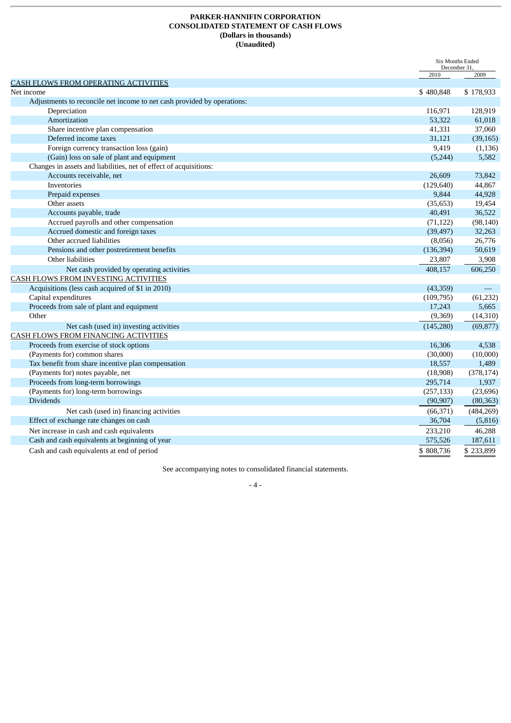#### **PARKER-HANNIFIN CORPORATION CONSOLIDATED STATEMENT OF CASH FLOWS (Dollars in thousands) (Unaudited)**

|                                                                         | December 31 | Six Months Ended |
|-------------------------------------------------------------------------|-------------|------------------|
|                                                                         | 2010        | 2009             |
| CASH FLOWS FROM OPERATING ACTIVITIES                                    |             |                  |
| Net income                                                              | \$480,848   | \$178,933        |
| Adjustments to reconcile net income to net cash provided by operations: |             |                  |
| Depreciation                                                            | 116,971     | 128,919          |
| Amortization                                                            | 53,322      | 61,018           |
| Share incentive plan compensation                                       | 41,331      | 37,060           |
| Deferred income taxes                                                   | 31,121      | (39, 165)        |
| Foreign currency transaction loss (gain)                                | 9,419       | (1, 136)         |
| (Gain) loss on sale of plant and equipment                              | (5,244)     | 5,582            |
| Changes in assets and liabilities, net of effect of acquisitions:       |             |                  |
| Accounts receivable, net                                                | 26,609      | 73,842           |
| Inventories                                                             | (129, 640)  | 44,867           |
| Prepaid expenses                                                        | 9,844       | 44,928           |
| Other assets                                                            | (35, 653)   | 19,454           |
| Accounts payable, trade                                                 | 40,491      | 36,522           |
| Accrued payrolls and other compensation                                 | (71, 122)   | (98, 140)        |
| Accrued domestic and foreign taxes                                      | (39, 497)   | 32,263           |
| Other accrued liabilities                                               | (8,056)     | 26,776           |
| Pensions and other postretirement benefits                              | (136, 394)  | 50,619           |
| Other liabilities                                                       | 23,807      | 3,908            |
| Net cash provided by operating activities                               | 408,157     | 606,250          |
| CASH FLOWS FROM INVESTING ACTIVITIES                                    |             |                  |
| Acquisitions (less cash acquired of \$1 in 2010)                        | (43, 359)   |                  |
| Capital expenditures                                                    | (109, 795)  | (61, 232)        |
| Proceeds from sale of plant and equipment                               | 17,243      | 5,665            |
| Other                                                                   | (9,369)     | (14, 310)        |
| Net cash (used in) investing activities                                 | (145, 280)  | (69, 877)        |
| CASH FLOWS FROM FINANCING ACTIVITIES                                    |             |                  |
| Proceeds from exercise of stock options                                 | 16,306      | 4,538            |
| (Payments for) common shares                                            | (30,000)    | (10,000)         |
| Tax benefit from share incentive plan compensation                      | 18,557      | 1,489            |
| (Payments for) notes payable, net                                       | (18,908)    | (378, 174)       |
| Proceeds from long-term borrowings                                      | 295,714     | 1,937            |
| (Payments for) long-term borrowings                                     | (257, 133)  | (23, 696)        |
| <b>Dividends</b>                                                        | (90, 907)   | (80, 363)        |
| Net cash (used in) financing activities                                 | (66, 371)   | (484, 269)       |
| Effect of exchange rate changes on cash                                 | 36,704      | (5,816)          |
| Net increase in cash and cash equivalents                               | 233,210     | 46,288           |
| Cash and cash equivalents at beginning of year                          | 575,526     | 187,611          |
| Cash and cash equivalents at end of period                              | \$808,736   | \$233,899        |
|                                                                         |             |                  |

See accompanying notes to consolidated financial statements.

 $-4-$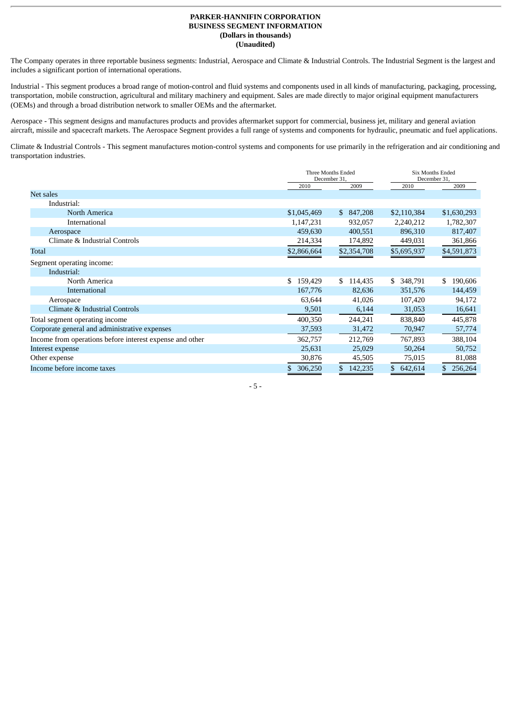#### **PARKER-HANNIFIN CORPORATION BUSINESS SEGMENT INFORMATION (Dollars in thousands) (Unaudited)**

The Company operates in three reportable business segments: Industrial, Aerospace and Climate & Industrial Controls. The Industrial Segment is the largest and includes a significant portion of international operations.

Industrial - This segment produces a broad range of motion-control and fluid systems and components used in all kinds of manufacturing, packaging, processing, transportation, mobile construction, agricultural and military machinery and equipment. Sales are made directly to major original equipment manufacturers (OEMs) and through a broad distribution network to smaller OEMs and the aftermarket.

Aerospace - This segment designs and manufactures products and provides aftermarket support for commercial, business jet, military and general aviation aircraft, missile and spacecraft markets. The Aerospace Segment provides a full range of systems and components for hydraulic, pneumatic and fuel applications.

Climate & Industrial Controls - This segment manufactures motion-control systems and components for use primarily in the refrigeration and air conditioning and transportation industries.

|                                                          |                | Three Months Ended<br>December 31, |                | <b>Six Months Ended</b><br>December 31, |
|----------------------------------------------------------|----------------|------------------------------------|----------------|-----------------------------------------|
|                                                          | 2010           | 2009                               | 2010           | 2009                                    |
| Net sales                                                |                |                                    |                |                                         |
| Industrial:                                              |                |                                    |                |                                         |
| North America                                            | \$1,045,469    | \$847,208                          | \$2,110,384    | \$1,630,293                             |
| International                                            | 1,147,231      | 932,057                            | 2,240,212      | 1,782,307                               |
| Aerospace                                                | 459,630        | 400,551                            | 896,310        | 817,407                                 |
| Climate & Industrial Controls                            | 214,334        | 174,892                            | 449,031        | 361,866                                 |
| Total                                                    | \$2,866,664    | \$2,354,708                        | \$5,695,937    | \$4,591,873                             |
| Segment operating income:                                |                |                                    |                |                                         |
| Industrial:                                              |                |                                    |                |                                         |
| North America                                            | \$.<br>159,429 | \$<br>114,435                      | 348,791<br>\$. | 190,606<br>\$                           |
| International                                            | 167,776        | 82,636                             | 351,576        | 144,459                                 |
| Aerospace                                                | 63,644         | 41,026                             | 107,420        | 94,172                                  |
| Climate & Industrial Controls                            | 9,501          | 6,144                              | 31,053         | 16,641                                  |
| Total segment operating income                           | 400,350        | 244,241                            | 838,840        | 445,878                                 |
| Corporate general and administrative expenses            | 37,593         | 31,472                             | 70,947         | 57,774                                  |
| Income from operations before interest expense and other | 362,757        | 212,769                            | 767,893        | 388,104                                 |
| Interest expense                                         | 25,631         | 25,029                             | 50,264         | 50,752                                  |
| Other expense                                            | 30,876         | 45,505                             | 75,015         | 81,088                                  |
| Income before income taxes                               | 306,250<br>\$  | \$142,235                          | \$<br>642,614  | 256,264<br>\$                           |

- 5 -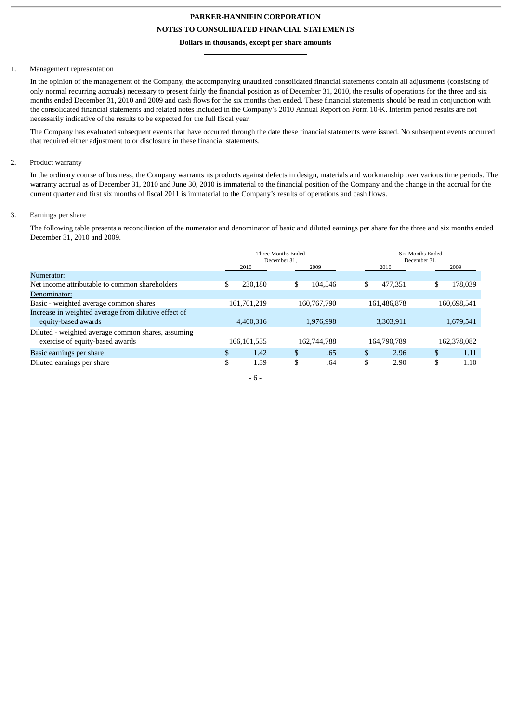## **PARKER-HANNIFIN CORPORATION NOTES TO CONSOLIDATED FINANCIAL STATEMENTS**

#### **Dollars in thousands, except per share amounts**

#### 1. Management representation

In the opinion of the management of the Company, the accompanying unaudited consolidated financial statements contain all adjustments (consisting of only normal recurring accruals) necessary to present fairly the financial position as of December 31, 2010, the results of operations for the three and six months ended December 31, 2010 and 2009 and cash flows for the six months then ended. These financial statements should be read in conjunction with the consolidated financial statements and related notes included in the Company's 2010 Annual Report on Form 10-K. Interim period results are not necessarily indicative of the results to be expected for the full fiscal year.

The Company has evaluated subsequent events that have occurred through the date these financial statements were issued. No subsequent events occurred that required either adjustment to or disclosure in these financial statements.

#### 2. Product warranty

In the ordinary course of business, the Company warrants its products against defects in design, materials and workmanship over various time periods. The warranty accrual as of December 31, 2010 and June 30, 2010 is immaterial to the financial position of the Company and the change in the accrual for the current quarter and first six months of fiscal 2011 is immaterial to the Company's results of operations and cash flows.

#### 3. Earnings per share

The following table presents a reconciliation of the numerator and denominator of basic and diluted earnings per share for the three and six months ended December 31, 2010 and 2009.

|                                                      | Three Months Ended<br>December 31. |               |             |             |           | <b>Six Months Ended</b><br>December 31. |    |             |  |  |  |             |  |             |
|------------------------------------------------------|------------------------------------|---------------|-------------|-------------|-----------|-----------------------------------------|----|-------------|--|--|--|-------------|--|-------------|
|                                                      |                                    | 2010          |             | 2009        | 2010      |                                         |    | 2009        |  |  |  |             |  |             |
| Numerator:                                           |                                    |               |             |             |           |                                         |    |             |  |  |  |             |  |             |
| Net income attributable to common shareholders       | S.                                 | 230.180       | \$          | 104.546     | \$        | 477.351                                 | а  | 178,039     |  |  |  |             |  |             |
| Denominator:                                         |                                    |               |             |             |           |                                         |    |             |  |  |  |             |  |             |
| Basic - weighted average common shares               |                                    | 161,701,219   |             | 160,767,790 |           | 161,486,878                             |    | 160,698,541 |  |  |  |             |  |             |
| Increase in weighted average from dilutive effect of |                                    |               |             |             |           |                                         |    |             |  |  |  |             |  |             |
| equity-based awards                                  |                                    | 4,400,316     |             | 1,976,998   | 3,303,911 |                                         |    | 1,679,541   |  |  |  |             |  |             |
| Diluted - weighted average common shares, assuming   |                                    |               |             |             |           |                                         |    |             |  |  |  |             |  |             |
| exercise of equity-based awards                      |                                    | 166, 101, 535 | 162,744,788 |             |           |                                         |    |             |  |  |  | 164,790,789 |  | 162,378,082 |
| Basic earnings per share                             |                                    | 1.42          | \$.         | .65         | \$        | 2.96                                    |    | 1.11        |  |  |  |             |  |             |
| Diluted earnings per share                           | \$                                 | 1.39          | \$          | .64         | \$        | 2.90                                    | \$ | 1.10        |  |  |  |             |  |             |

- 6 -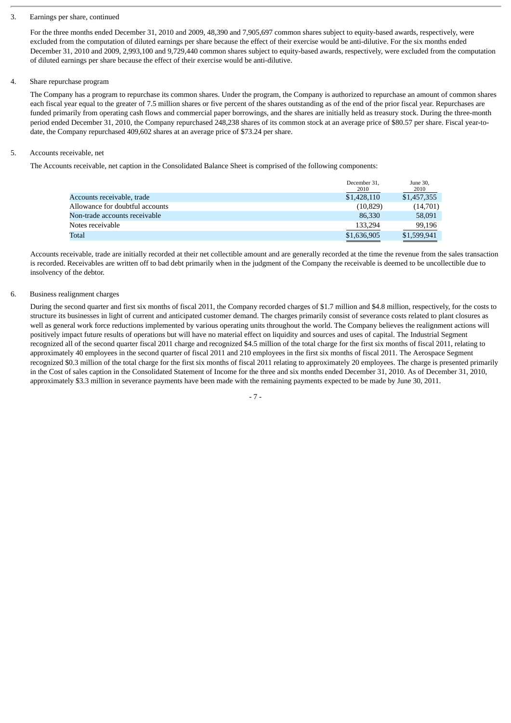#### 3. Earnings per share, continued

For the three months ended December 31, 2010 and 2009, 48,390 and 7,905,697 common shares subject to equity-based awards, respectively, were excluded from the computation of diluted earnings per share because the effect of their exercise would be anti-dilutive. For the six months ended December 31, 2010 and 2009, 2,993,100 and 9,729,440 common shares subject to equity-based awards, respectively, were excluded from the computation of diluted earnings per share because the effect of their exercise would be anti-dilutive.

#### 4. Share repurchase program

The Company has a program to repurchase its common shares. Under the program, the Company is authorized to repurchase an amount of common shares each fiscal year equal to the greater of 7.5 million shares or five percent of the shares outstanding as of the end of the prior fiscal year. Repurchases are funded primarily from operating cash flows and commercial paper borrowings, and the shares are initially held as treasury stock. During the three-month period ended December 31, 2010, the Company repurchased 248,238 shares of its common stock at an average price of \$80.57 per share. Fiscal year-todate, the Company repurchased 409,602 shares at an average price of \$73.24 per share.

#### 5. Accounts receivable, net

The Accounts receivable, net caption in the Consolidated Balance Sheet is comprised of the following components:

|                                 | December 31.<br>2010 | June 30,<br>2010 |
|---------------------------------|----------------------|------------------|
| Accounts receivable, trade      | \$1,428,110          | \$1,457,355      |
| Allowance for doubtful accounts | (10, 829)            | (14,701)         |
| Non-trade accounts receivable   | 86,330               | 58,091           |
| Notes receivable                | 133,294              | 99,196           |
| Total                           | \$1,636,905          | \$1,599,941      |
|                                 |                      |                  |

Accounts receivable, trade are initially recorded at their net collectible amount and are generally recorded at the time the revenue from the sales transaction is recorded. Receivables are written off to bad debt primarily when in the judgment of the Company the receivable is deemed to be uncollectible due to insolvency of the debtor.

#### 6. Business realignment charges

During the second quarter and first six months of fiscal 2011, the Company recorded charges of \$1.7 million and \$4.8 million, respectively, for the costs to structure its businesses in light of current and anticipated customer demand. The charges primarily consist of severance costs related to plant closures as well as general work force reductions implemented by various operating units throughout the world. The Company believes the realignment actions will positively impact future results of operations but will have no material effect on liquidity and sources and uses of capital. The Industrial Segment recognized all of the second quarter fiscal 2011 charge and recognized \$4.5 million of the total charge for the first six months of fiscal 2011, relating to approximately 40 employees in the second quarter of fiscal 2011 and 210 employees in the first six months of fiscal 2011. The Aerospace Segment recognized \$0.3 million of the total charge for the first six months of fiscal 2011 relating to approximately 20 employees. The charge is presented primarily in the Cost of sales caption in the Consolidated Statement of Income for the three and six months ended December 31, 2010. As of December 31, 2010, approximately \$3.3 million in severance payments have been made with the remaining payments expected to be made by June 30, 2011.

- 7 -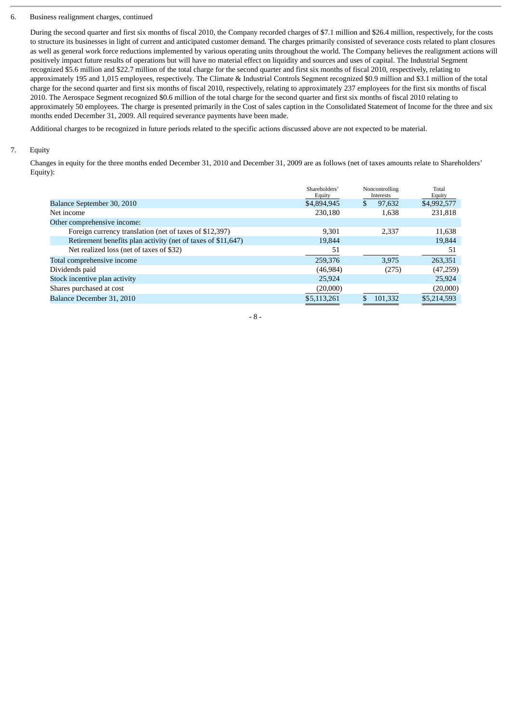#### 6. Business realignment charges, continued

During the second quarter and first six months of fiscal 2010, the Company recorded charges of \$7.1 million and \$26.4 million, respectively, for the costs to structure its businesses in light of current and anticipated customer demand. The charges primarily consisted of severance costs related to plant closures as well as general work force reductions implemented by various operating units throughout the world. The Company believes the realignment actions will positively impact future results of operations but will have no material effect on liquidity and sources and uses of capital. The Industrial Segment recognized \$5.6 million and \$22.7 million of the total charge for the second quarter and first six months of fiscal 2010, respectively, relating to approximately 195 and 1,015 employees, respectively. The Climate & Industrial Controls Segment recognized \$0.9 million and \$3.1 million of the total charge for the second quarter and first six months of fiscal 2010, respectively, relating to approximately 237 employees for the first six months of fiscal 2010. The Aerospace Segment recognized \$0.6 million of the total charge for the second quarter and first six months of fiscal 2010 relating to approximately 50 employees. The charge is presented primarily in the Cost of sales caption in the Consolidated Statement of Income for the three and six months ended December 31, 2009. All required severance payments have been made.

Additional charges to be recognized in future periods related to the specific actions discussed above are not expected to be material.

#### 7. Equity

Changes in equity for the three months ended December 31, 2010 and December 31, 2009 are as follows (net of taxes amounts relate to Shareholders' Equity):

|                                                              | Shareholders'<br>Equity | Noncontrolling<br>Interests | Total<br>Equity |
|--------------------------------------------------------------|-------------------------|-----------------------------|-----------------|
| Balance September 30, 2010                                   | \$4,894,945             | 97,632<br>S                 | \$4,992,577     |
| Net income                                                   | 230,180                 | 1,638                       | 231,818         |
| Other comprehensive income:                                  |                         |                             |                 |
| Foreign currency translation (net of taxes of \$12,397)      | 9.301                   | 2.337                       | 11,638          |
| Retirement benefits plan activity (net of taxes of \$11,647) | 19.844                  |                             | 19,844          |
| Net realized loss (net of taxes of \$32)                     | 51                      |                             | -51             |
| Total comprehensive income                                   | 259,376                 | 3.975                       | 263,351         |
| Dividends paid                                               | (46, 984)               | (275)                       | (47,259)        |
| Stock incentive plan activity                                | 25.924                  |                             | 25,924          |
| Shares purchased at cost                                     | (20,000)                |                             | (20,000)        |
| Balance December 31, 2010                                    | \$5,113,261             | 101,332                     | \$5,214,593     |

- 8 -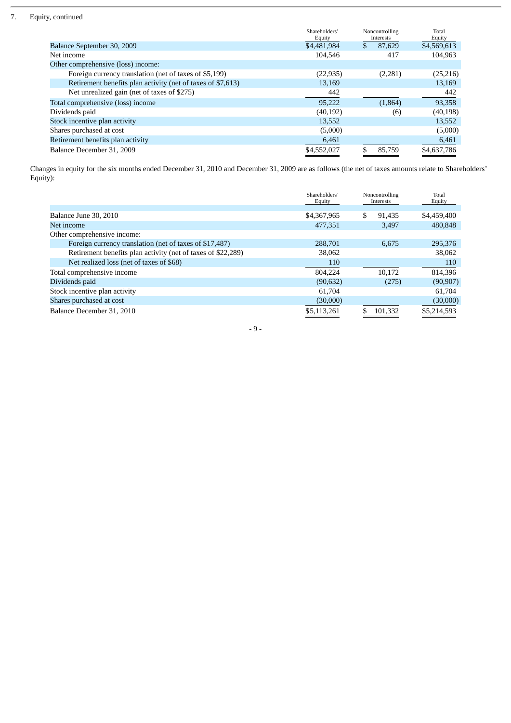## 7. Equity, continued

|                                                             | Shareholders'<br>Equity | Noncontrolling<br>Interests | Total<br>Equity |
|-------------------------------------------------------------|-------------------------|-----------------------------|-----------------|
| Balance September 30, 2009                                  | \$4,481,984             | 87.629<br>\$                | \$4,569,613     |
| Net income                                                  | 104.546                 | 417                         | 104.963         |
| Other comprehensive (loss) income:                          |                         |                             |                 |
| Foreign currency translation (net of taxes of \$5,199)      | (22, 935)               | (2,281)                     | (25, 216)       |
| Retirement benefits plan activity (net of taxes of \$7,613) | 13,169                  |                             | 13,169          |
| Net unrealized gain (net of taxes of \$275)                 | 442                     |                             | 442             |
| Total comprehensive (loss) income                           | 95.222                  | (1,864)                     | 93,358          |
| Dividends paid                                              | (40, 192)               | (6)                         | (40, 198)       |
| Stock incentive plan activity                               | 13,552                  |                             | 13,552          |
| Shares purchased at cost                                    | (5,000)                 |                             | (5,000)         |
| Retirement benefits plan activity                           | 6,461                   |                             | 6,461           |
| Balance December 31, 2009                                   | \$4,552,027             | 85,759                      | \$4,637,786     |

Changes in equity for the six months ended December 31, 2010 and December 31, 2009 are as follows (the net of taxes amounts relate to Shareholders' Equity):

|                                                              | <b>Shareholders</b><br>Equity | Noncontrolling<br>Interests | Total<br>Equity |
|--------------------------------------------------------------|-------------------------------|-----------------------------|-----------------|
|                                                              |                               |                             |                 |
| Balance June 30, 2010                                        | \$4,367,965                   | \$<br>91.435                | \$4,459,400     |
| Net income                                                   | 477,351                       | 3,497                       | 480,848         |
| Other comprehensive income:                                  |                               |                             |                 |
| Foreign currency translation (net of taxes of \$17,487)      | 288,701                       | 6.675                       | 295,376         |
| Retirement benefits plan activity (net of taxes of \$22,289) | 38.062                        |                             | 38,062          |
| Net realized loss (net of taxes of \$68)                     | 110                           |                             | 110             |
| Total comprehensive income                                   | 804.224                       | 10.172                      | 814.396         |
| Dividends paid                                               | (90, 632)                     | (275)                       | (90, 907)       |
| Stock incentive plan activity                                | 61,704                        |                             | 61,704          |
| Shares purchased at cost                                     | (30,000)                      |                             | (30,000)        |
| Balance December 31, 2010                                    | \$5,113,261                   | 101,332                     | \$5,214,593     |

- 9 -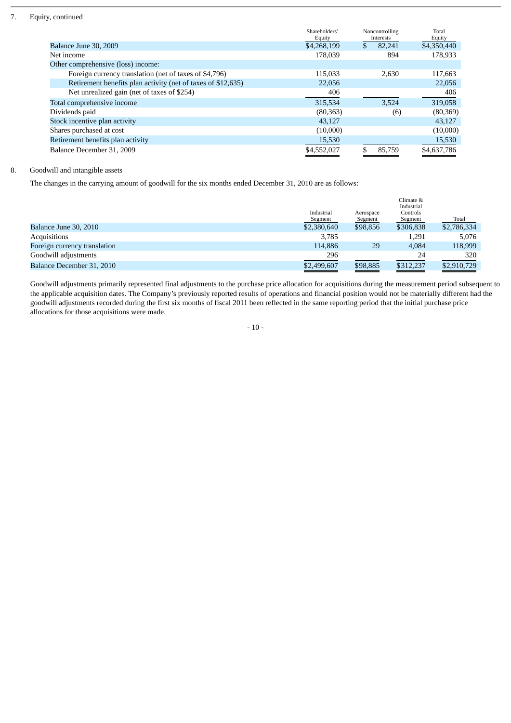## 7. Equity, continued

|                                                              | Shareholders'<br>Equity |   | Noncontrolling<br>Interests | Total<br>Equity |
|--------------------------------------------------------------|-------------------------|---|-----------------------------|-----------------|
| Balance June 30, 2009                                        | \$4,268,199             | S | 82,241                      | \$4,350,440     |
| Net income                                                   | 178.039                 |   | 894                         | 178.933         |
| Other comprehensive (loss) income:                           |                         |   |                             |                 |
| Foreign currency translation (net of taxes of \$4,796)       | 115,033                 |   | 2.630                       | 117,663         |
| Retirement benefits plan activity (net of taxes of \$12,635) | 22,056                  |   |                             | 22,056          |
| Net unrealized gain (net of taxes of \$254)                  | 406                     |   |                             | 406             |
| Total comprehensive income                                   | 315,534                 |   | 3.524                       | 319,058         |
| Dividends paid                                               | (80, 363)               |   | (6)                         | (80, 369)       |
| Stock incentive plan activity                                | 43,127                  |   |                             | 43,127          |
| Shares purchased at cost                                     | (10,000)                |   |                             | (10,000)        |
| Retirement benefits plan activity                            | 15,530                  |   |                             | 15,530          |
| Balance December 31, 2009                                    | \$4,552,027             |   | 85,759                      | \$4,637,786     |

#### 8. Goodwill and intangible assets

The changes in the carrying amount of goodwill for the six months ended December 31, 2010 are as follows:

|                              |             |           | Climate &<br>Industrial |             |
|------------------------------|-------------|-----------|-------------------------|-------------|
|                              | Industrial  | Aerospace | Controls                |             |
|                              | Segment     | Segment   | Segment                 | Total       |
| Balance June 30, 2010        | \$2,380,640 | \$98,856  | \$306,838               | \$2,786,334 |
| Acquisitions                 | 3,785       |           | 1,291                   | 5,076       |
| Foreign currency translation | 114.886     | 29        | 4.084                   | 118,999     |
| Goodwill adjustments         | 296         |           | 24                      | 320         |
| Balance December 31, 2010    | \$2,499,607 | \$98,885  | \$312,237               | \$2,910,729 |

Goodwill adjustments primarily represented final adjustments to the purchase price allocation for acquisitions during the measurement period subsequent to the applicable acquisition dates. The Company's previously reported results of operations and financial position would not be materially different had the goodwill adjustments recorded during the first six months of fiscal 2011 been reflected in the same reporting period that the initial purchase price allocations for those acquisitions were made.

- 10 -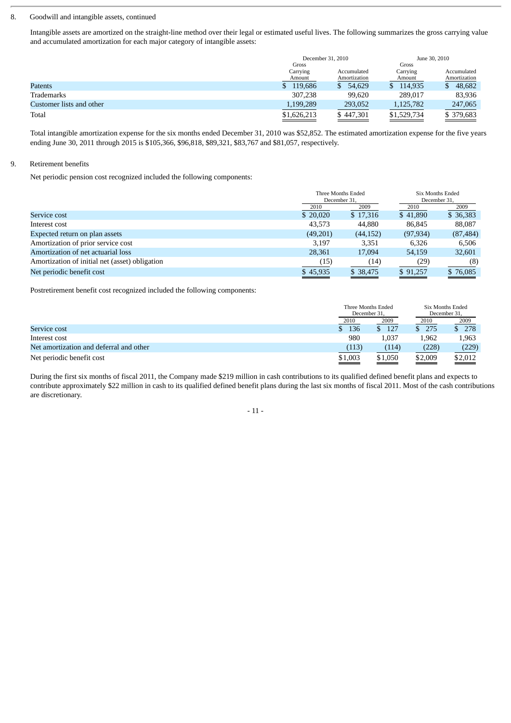#### 8. Goodwill and intangible assets, continued

Intangible assets are amortized on the straight-line method over their legal or estimated useful lives. The following summarizes the gross carrying value and accumulated amortization for each major category of intangible assets:

|                          | December 31, 2010         |              | June 30, 2010 |              |
|--------------------------|---------------------------|--------------|---------------|--------------|
|                          | Gross                     |              |               |              |
|                          | Carrying                  | Accumulated  | Carrying      | Accumulated  |
|                          | Amount                    | Amortization | Amount        | Amortization |
| Patents                  | 119.686<br>$\mathbb{S}^-$ | 54,629<br>S. | 114.935       | 48,682       |
| Trademarks               | 307.238                   | 99.620       | 289,017       | 83,936       |
| Customer lists and other | 1,199,289                 | 293,052      | 1,125,782     | 247,065      |
| Total                    | \$1,626,213               | \$447,301    | \$1,529,734   | \$379,683    |

Total intangible amortization expense for the six months ended December 31, 2010 was \$52,852. The estimated amortization expense for the five years ending June 30, 2011 through 2015 is \$105,366, \$96,818, \$89,321, \$83,767 and \$81,057, respectively.

#### 9. Retirement benefits

Net periodic pension cost recognized included the following components:

|                                                | Three Months Ended<br>December 31, |           | Six Months Ended<br>December 31, |           |
|------------------------------------------------|------------------------------------|-----------|----------------------------------|-----------|
|                                                | 2010                               | 2009      | 2010                             | 2009      |
| Service cost                                   | \$20,020                           | \$17,316  | \$41,890                         | \$36,383  |
| Interest cost                                  | 43,573                             | 44,880    | 86,845                           | 88,087    |
| Expected return on plan assets                 | (49,201)                           | (44, 152) | (97, 934)                        | (87, 484) |
| Amortization of prior service cost             | 3.197                              | 3.351     | 6.326                            | 6.506     |
| Amortization of net actuarial loss             | 28,361                             | 17,094    | 54,159                           | 32,601    |
| Amortization of initial net (asset) obligation | (15)                               | (14)      | (29)                             | (8)       |
| Net periodic benefit cost                      | \$45,935                           | \$38,475  | \$91,257                         | \$76,085  |

Postretirement benefit cost recognized included the following components:

|                                         |         | Three Months Ended<br>December 31. |         | Six Months Ended |
|-----------------------------------------|---------|------------------------------------|---------|------------------|
|                                         |         |                                    |         | December 31.     |
|                                         | 2010    | 2009                               | 2010    | 2009             |
| Service cost                            | \$136   | \$127                              | 275     | \$278            |
| Interest cost                           | 980     | 1.037                              | 1.962   | 1,963            |
| Net amortization and deferral and other | (113)   | (114)                              | (228)   | (229)            |
| Net periodic benefit cost               | \$1,003 | \$1,050                            | \$2,009 | \$2,012          |

During the first six months of fiscal 2011, the Company made \$219 million in cash contributions to its qualified defined benefit plans and expects to contribute approximately \$22 million in cash to its qualified defined benefit plans during the last six months of fiscal 2011. Most of the cash contributions are discretionary.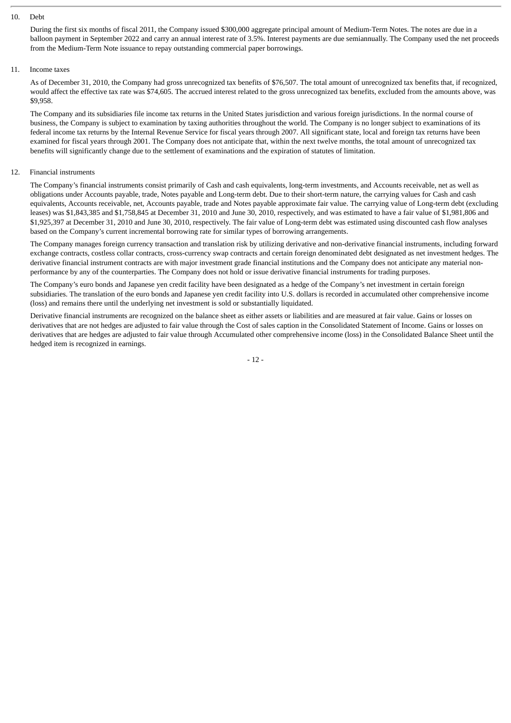#### 10. Debt

During the first six months of fiscal 2011, the Company issued \$300,000 aggregate principal amount of Medium-Term Notes. The notes are due in a balloon payment in September 2022 and carry an annual interest rate of 3.5%. Interest payments are due semiannually. The Company used the net proceeds from the Medium-Term Note issuance to repay outstanding commercial paper borrowings.

#### 11. Income taxes

As of December 31, 2010, the Company had gross unrecognized tax benefits of \$76,507. The total amount of unrecognized tax benefits that, if recognized, would affect the effective tax rate was \$74,605. The accrued interest related to the gross unrecognized tax benefits, excluded from the amounts above, was \$9,958.

The Company and its subsidiaries file income tax returns in the United States jurisdiction and various foreign jurisdictions. In the normal course of business, the Company is subject to examination by taxing authorities throughout the world. The Company is no longer subject to examinations of its federal income tax returns by the Internal Revenue Service for fiscal years through 2007. All significant state, local and foreign tax returns have been examined for fiscal years through 2001. The Company does not anticipate that, within the next twelve months, the total amount of unrecognized tax benefits will significantly change due to the settlement of examinations and the expiration of statutes of limitation.

#### 12. Financial instruments

The Company's financial instruments consist primarily of Cash and cash equivalents, long-term investments, and Accounts receivable, net as well as obligations under Accounts payable, trade, Notes payable and Long-term debt. Due to their short-term nature, the carrying values for Cash and cash equivalents, Accounts receivable, net, Accounts payable, trade and Notes payable approximate fair value. The carrying value of Long-term debt (excluding leases) was \$1,843,385 and \$1,758,845 at December 31, 2010 and June 30, 2010, respectively, and was estimated to have a fair value of \$1,981,806 and \$1,925,397 at December 31, 2010 and June 30, 2010, respectively. The fair value of Long-term debt was estimated using discounted cash flow analyses based on the Company's current incremental borrowing rate for similar types of borrowing arrangements.

The Company manages foreign currency transaction and translation risk by utilizing derivative and non-derivative financial instruments, including forward exchange contracts, costless collar contracts, cross-currency swap contracts and certain foreign denominated debt designated as net investment hedges. The derivative financial instrument contracts are with major investment grade financial institutions and the Company does not anticipate any material nonperformance by any of the counterparties. The Company does not hold or issue derivative financial instruments for trading purposes.

The Company's euro bonds and Japanese yen credit facility have been designated as a hedge of the Company's net investment in certain foreign subsidiaries. The translation of the euro bonds and Japanese yen credit facility into U.S. dollars is recorded in accumulated other comprehensive income (loss) and remains there until the underlying net investment is sold or substantially liquidated.

Derivative financial instruments are recognized on the balance sheet as either assets or liabilities and are measured at fair value. Gains or losses on derivatives that are not hedges are adjusted to fair value through the Cost of sales caption in the Consolidated Statement of Income. Gains or losses on derivatives that are hedges are adjusted to fair value through Accumulated other comprehensive income (loss) in the Consolidated Balance Sheet until the hedged item is recognized in earnings.

 $-12-$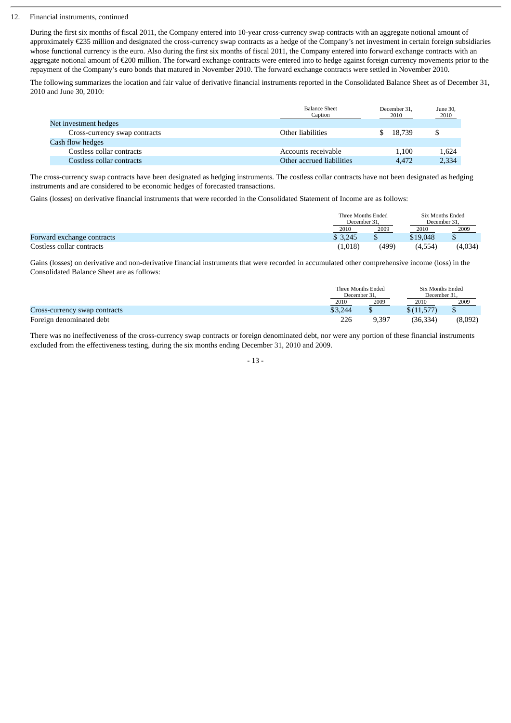#### 12. Financial instruments, continued

During the first six months of fiscal 2011, the Company entered into 10-year cross-currency swap contracts with an aggregate notional amount of approximately €235 million and designated the cross-currency swap contracts as a hedge of the Company's net investment in certain foreign subsidiaries whose functional currency is the euro. Also during the first six months of fiscal 2011, the Company entered into forward exchange contracts with an aggregate notional amount of €200 million. The forward exchange contracts were entered into to hedge against foreign currency movements prior to the repayment of the Company's euro bonds that matured in November 2010. The forward exchange contracts were settled in November 2010.

The following summarizes the location and fair value of derivative financial instruments reported in the Consolidated Balance Sheet as of December 31, 2010 and June 30, 2010:

|                               | <b>Balance Sheet</b><br>Caption | December 31,<br>2010 | June 30,<br>2010 |
|-------------------------------|---------------------------------|----------------------|------------------|
| Net investment hedges         |                                 |                      |                  |
| Cross-currency swap contracts | Other liabilities               | 18.739               | S.               |
| Cash flow hedges              |                                 |                      |                  |
| Costless collar contracts     | Accounts receivable             | 1.100                | 1,624            |
| Costless collar contracts     | Other accrued liabilities       | 4.472                | 2,334            |
|                               |                                 |                      |                  |

The cross-currency swap contracts have been designated as hedging instruments. The costless collar contracts have not been designated as hedging instruments and are considered to be economic hedges of forecasted transactions.

Gains (losses) on derivative financial instruments that were recorded in the Consolidated Statement of Income are as follows:

|                            | Three Months Ended<br>December 31. |       | <b>Six Months Ended</b><br>December 31. |         |
|----------------------------|------------------------------------|-------|-----------------------------------------|---------|
|                            | 2010                               | 2009  | 2010                                    | 2009    |
| Forward exchange contracts | \$3,245                            |       | \$19,048                                |         |
| Costless collar contracts  | (1,018)                            | (499) | (4,554)                                 | (4,034) |

Gains (losses) on derivative and non-derivative financial instruments that were recorded in accumulated other comprehensive income (loss) in the Consolidated Balance Sheet are as follows:

|                               |         | Three Months Ended |            | Six Months Ended |
|-------------------------------|---------|--------------------|------------|------------------|
|                               |         | December 31        |            | December 31.     |
|                               | 2010    | 2009               | 2010       | 2009             |
| Cross-currency swap contracts | \$3,244 |                    | \$(11,577) |                  |
| Foreign denominated debt      | 226     | 9,397              | (36,334)   | (8,092)          |

There was no ineffectiveness of the cross-currency swap contracts or foreign denominated debt, nor were any portion of these financial instruments excluded from the effectiveness testing, during the six months ending December 31, 2010 and 2009.

- 13 -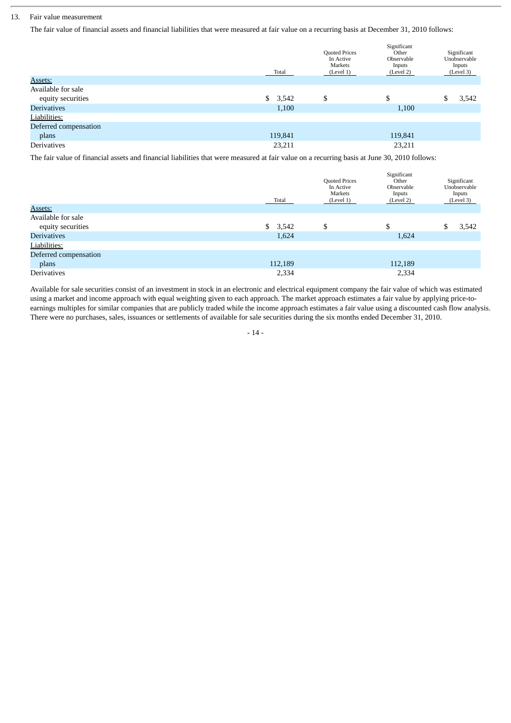#### 13. Fair value measurement

The fair value of financial assets and financial liabilities that were measured at fair value on a recurring basis at December 31, 2010 follows:

| Assets:               | Total       | <b>Quoted Prices</b><br>In Active<br><b>Markets</b><br>(Level 1) | Significant<br>Other<br>Observable<br>Inputs<br>(Level 2) | Significant<br>Unobservable<br>Inputs<br>(Level 3) |
|-----------------------|-------------|------------------------------------------------------------------|-----------------------------------------------------------|----------------------------------------------------|
| Available for sale    |             |                                                                  |                                                           |                                                    |
|                       |             |                                                                  |                                                           |                                                    |
| equity securities     | S.<br>3,542 | \$                                                               | \$                                                        | 3,542                                              |
| <b>Derivatives</b>    | 1,100       |                                                                  | 1,100                                                     |                                                    |
| Liabilities:          |             |                                                                  |                                                           |                                                    |
| Deferred compensation |             |                                                                  |                                                           |                                                    |
| plans                 | 119,841     |                                                                  | 119,841                                                   |                                                    |
| <b>Derivatives</b>    | 23,211      |                                                                  | 23,211                                                    |                                                    |

The fair value of financial assets and financial liabilities that were measured at fair value on a recurring basis at June 30, 2010 follows:

|                       | Total       | <b>Quoted Prices</b><br>In Active<br><b>Markets</b><br>(Level 1) | Significant<br>Other<br>Observable<br>Inputs<br>(Level 2) |   | Significant<br>Unobservable<br>Inputs<br>(Level 3) |
|-----------------------|-------------|------------------------------------------------------------------|-----------------------------------------------------------|---|----------------------------------------------------|
| Assets:               |             |                                                                  |                                                           |   |                                                    |
| Available for sale    |             |                                                                  |                                                           |   |                                                    |
| equity securities     | \$<br>3,542 | \$                                                               | \$                                                        | S | 3,542                                              |
| <b>Derivatives</b>    | 1,624       |                                                                  | 1,624                                                     |   |                                                    |
| Liabilities:          |             |                                                                  |                                                           |   |                                                    |
| Deferred compensation |             |                                                                  |                                                           |   |                                                    |
| plans                 | 112,189     |                                                                  | 112,189                                                   |   |                                                    |
| <b>Derivatives</b>    | 2,334       |                                                                  | 2,334                                                     |   |                                                    |

Available for sale securities consist of an investment in stock in an electronic and electrical equipment company the fair value of which was estimated using a market and income approach with equal weighting given to each approach. The market approach estimates a fair value by applying price-toearnings multiples for similar companies that are publicly traded while the income approach estimates a fair value using a discounted cash flow analysis. There were no purchases, sales, issuances or settlements of available for sale securities during the six months ended December 31, 2010.

- 14 -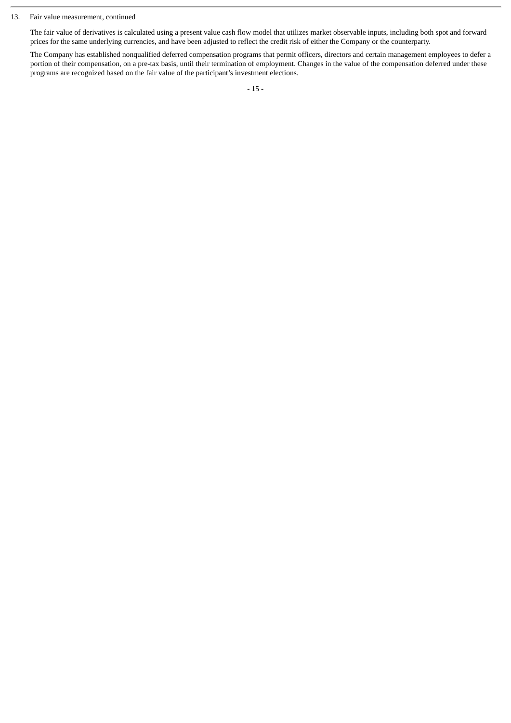#### 13. Fair value measurement, continued

The fair value of derivatives is calculated using a present value cash flow model that utilizes market observable inputs, including both spot and forward prices for the same underlying currencies, and have been adjusted to reflect the credit risk of either the Company or the counterparty.

The Company has established nonqualified deferred compensation programs that permit officers, directors and certain management employees to defer a portion of their compensation, on a pre-tax basis, until their termination of employment. Changes in the value of the compensation deferred under these programs are recognized based on the fair value of the participant's investment elections.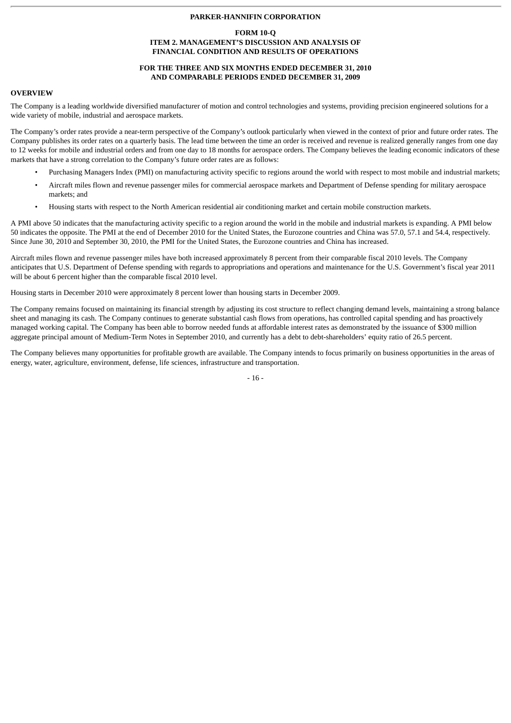#### **PARKER-HANNIFIN CORPORATION**

#### **FORM 10-Q ITEM 2. MANAGEMENT'S DISCUSSION AND ANALYSIS OF FINANCIAL CONDITION AND RESULTS OF OPERATIONS**

## **FOR THE THREE AND SIX MONTHS ENDED DECEMBER 31, 2010 AND COMPARABLE PERIODS ENDED DECEMBER 31, 2009**

#### **OVERVIEW**

The Company is a leading worldwide diversified manufacturer of motion and control technologies and systems, providing precision engineered solutions for a wide variety of mobile, industrial and aerospace markets.

The Company's order rates provide a near-term perspective of the Company's outlook particularly when viewed in the context of prior and future order rates. The Company publishes its order rates on a quarterly basis. The lead time between the time an order is received and revenue is realized generally ranges from one day to 12 weeks for mobile and industrial orders and from one day to 18 months for aerospace orders. The Company believes the leading economic indicators of these markets that have a strong correlation to the Company's future order rates are as follows:

- Purchasing Managers Index (PMI) on manufacturing activity specific to regions around the world with respect to most mobile and industrial markets;
- Aircraft miles flown and revenue passenger miles for commercial aerospace markets and Department of Defense spending for military aerospace markets; and
- Housing starts with respect to the North American residential air conditioning market and certain mobile construction markets.

A PMI above 50 indicates that the manufacturing activity specific to a region around the world in the mobile and industrial markets is expanding. A PMI below 50 indicates the opposite. The PMI at the end of December 2010 for the United States, the Eurozone countries and China was 57.0, 57.1 and 54.4, respectively. Since June 30, 2010 and September 30, 2010, the PMI for the United States, the Eurozone countries and China has increased.

Aircraft miles flown and revenue passenger miles have both increased approximately 8 percent from their comparable fiscal 2010 levels. The Company anticipates that U.S. Department of Defense spending with regards to appropriations and operations and maintenance for the U.S. Government's fiscal year 2011 will be about 6 percent higher than the comparable fiscal 2010 level.

Housing starts in December 2010 were approximately 8 percent lower than housing starts in December 2009.

The Company remains focused on maintaining its financial strength by adjusting its cost structure to reflect changing demand levels, maintaining a strong balance sheet and managing its cash. The Company continues to generate substantial cash flows from operations, has controlled capital spending and has proactively managed working capital. The Company has been able to borrow needed funds at affordable interest rates as demonstrated by the issuance of \$300 million aggregate principal amount of Medium-Term Notes in September 2010, and currently has a debt to debt-shareholders' equity ratio of 26.5 percent.

The Company believes many opportunities for profitable growth are available. The Company intends to focus primarily on business opportunities in the areas of energy, water, agriculture, environment, defense, life sciences, infrastructure and transportation.

- 16 -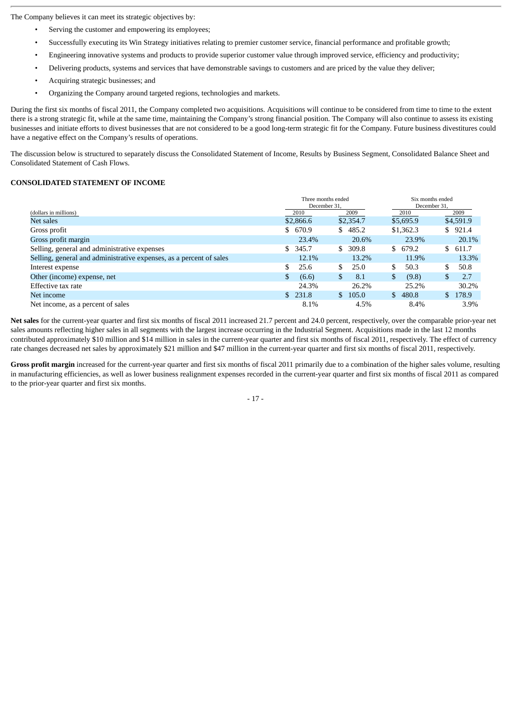The Company believes it can meet its strategic objectives by:

- Serving the customer and empowering its employees;
- Successfully executing its Win Strategy initiatives relating to premier customer service, financial performance and profitable growth;
- Engineering innovative systems and products to provide superior customer value through improved service, efficiency and productivity;
- Delivering products, systems and services that have demonstrable savings to customers and are priced by the value they deliver;
- Acquiring strategic businesses; and
- Organizing the Company around targeted regions, technologies and markets.

During the first six months of fiscal 2011, the Company completed two acquisitions. Acquisitions will continue to be considered from time to time to the extent there is a strong strategic fit, while at the same time, maintaining the Company's strong financial position. The Company will also continue to assess its existing businesses and initiate efforts to divest businesses that are not considered to be a good long-term strategic fit for the Company. Future business divestitures could have a negative effect on the Company's results of operations.

The discussion below is structured to separately discuss the Consolidated Statement of Income, Results by Business Segment, Consolidated Balance Sheet and Consolidated Statement of Cash Flows.

#### **CONSOLIDATED STATEMENT OF INCOME**

|                                                                     | Three months ended<br>December 31. |              | Six months ended<br>December 31. |                       |
|---------------------------------------------------------------------|------------------------------------|--------------|----------------------------------|-----------------------|
| (dollars in millions)                                               | 2010                               | 2009         | 2010                             | 2009                  |
| Net sales                                                           | \$2,866.6                          | \$2,354.7    | \$5,695.9                        | \$4,591.9             |
| Gross profit                                                        | \$670.9                            | \$485.2      | \$1,362.3                        | 921.4<br>\$           |
| Gross profit margin                                                 | 23.4%                              | 20.6%        | 23.9%                            | 20.1%                 |
| Selling, general and administrative expenses                        | \$345.7                            | 309.8<br>\$. | 679.2<br>S.                      | 611.7<br>\$           |
| Selling, general and administrative expenses, as a percent of sales | 12.1%                              | 13.2%        | 11.9%                            | 13.3%                 |
| Interest expense                                                    | \$<br>25.6                         | \$<br>25.0   | \$<br>50.3                       | 50.8<br>S             |
| Other (income) expense, net                                         | \$<br>(6.6)                        | \$<br>8.1    | \$<br>(9.8)                      | 2.7<br>S              |
| Effective tax rate                                                  | 24.3%                              | 26.2%        | 25.2%                            | 30.2%                 |
| Net income                                                          | \$231.8                            | \$105.0      | 480.8<br>\$.                     | 178.9<br>$\mathbf{s}$ |
| Net income, as a percent of sales                                   | 8.1%                               | 4.5%         | 8.4%                             | 3.9%                  |

**Net sales** for the current-year quarter and first six months of fiscal 2011 increased 21.7 percent and 24.0 percent, respectively, over the comparable prior-year net sales amounts reflecting higher sales in all segments with the largest increase occurring in the Industrial Segment. Acquisitions made in the last 12 months contributed approximately \$10 million and \$14 million in sales in the current-year quarter and first six months of fiscal 2011, respectively. The effect of currency rate changes decreased net sales by approximately \$21 million and \$47 million in the current-year quarter and first six months of fiscal 2011, respectively.

Gross profit margin increased for the current-year quarter and first six months of fiscal 2011 primarily due to a combination of the higher sales volume, resulting in manufacturing efficiencies, as well as lower business realignment expenses recorded in the current-year quarter and first six months of fiscal 2011 as compared to the prior-year quarter and first six months.

- 17 -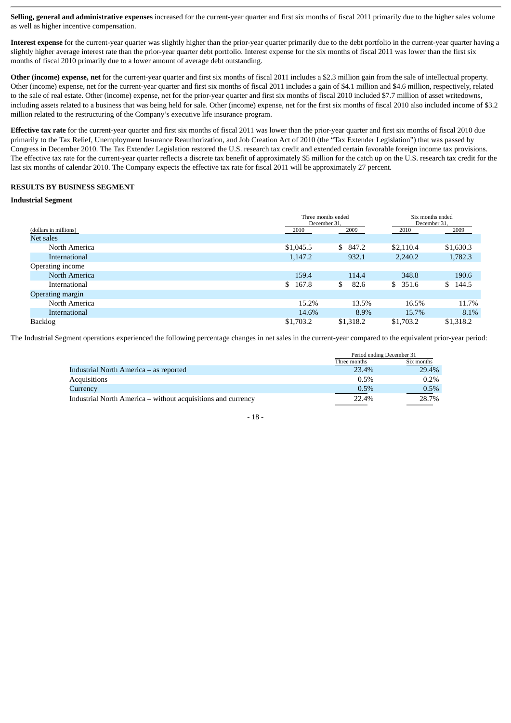**Selling, general and administrative expenses** increased for the current-year quarter and first six months of fiscal 2011 primarily due to the higher sales volume as well as higher incentive compensation.

**Interest expense** for the current-year quarter was slightly higher than the prior-year quarter primarily due to the debt portfolio in the current-year quarter having a slightly higher average interest rate than the prior-year quarter debt portfolio. Interest expense for the six months of fiscal 2011 was lower than the first six months of fiscal 2010 primarily due to a lower amount of average debt outstanding.

**Other (income) expense, net** for the current-year quarter and first six months of fiscal 2011 includes a \$2.3 million gain from the sale of intellectual property. Other (income) expense, net for the current-year quarter and first six months of fiscal 2011 includes a gain of \$4.1 million and \$4.6 million, respectively, related to the sale of real estate. Other (income) expense, net for the prior-year quarter and first six months of fiscal 2010 included \$7.7 million of asset writedowns, including assets related to a business that was being held for sale. Other (income) expense, net for the first six months of fiscal 2010 also included income of \$3.2 million related to the restructuring of the Company's executive life insurance program.

**Effective tax rate** for the current-year quarter and first six months of fiscal 2011 was lower than the prior-year quarter and first six months of fiscal 2010 due primarily to the Tax Relief, Unemployment Insurance Reauthorization, and Job Creation Act of 2010 (the "Tax Extender Legislation") that was passed by Congress in December 2010. The Tax Extender Legislation restored the U.S. research tax credit and extended certain favorable foreign income tax provisions. The effective tax rate for the current-year quarter reflects a discrete tax benefit of approximately \$5 million for the catch up on the U.S. research tax credit for the last six months of calendar 2010. The Company expects the effective tax rate for fiscal 2011 will be approximately 27 percent.

#### **RESULTS BY BUSINESS SEGMENT**

#### **Industrial Segment**

|                       |           | Three months ended<br>December 31. |           | Six months ended<br>December 31. |
|-----------------------|-----------|------------------------------------|-----------|----------------------------------|
| (dollars in millions) | 2010      | 2009                               | 2010      | 2009                             |
| Net sales             |           |                                    |           |                                  |
| North America         | \$1,045.5 | \$<br>847.2                        | \$2,110.4 | \$1,630.3                        |
| International         | 1,147.2   | 932.1                              | 2,240.2   | 1,782.3                          |
| Operating income      |           |                                    |           |                                  |
| North America         | 159.4     | 114.4                              | 348.8     | 190.6                            |
| International         | \$167.8   | \$<br>82.6                         | \$351.6   | 144.5<br>\$                      |
| Operating margin      |           |                                    |           |                                  |
| North America         | 15.2%     | 13.5%                              | 16.5%     | 11.7%                            |
| International         | 14.6%     | 8.9%                               | 15.7%     | 8.1%                             |
| <b>Backlog</b>        | \$1,703.2 | \$1,318.2                          | \$1,703.2 | \$1,318.2                        |

The Industrial Segment operations experienced the following percentage changes in net sales in the current-year compared to the equivalent prior-year period:

|                                                              | Period ending December 31 |            |
|--------------------------------------------------------------|---------------------------|------------|
|                                                              | Three months              | Six months |
| Industrial North America – as reported                       | 23.4%                     | 29.4%      |
| <b>Acquisitions</b>                                          | 0.5%                      | $0.2\%$    |
| Currency                                                     | 0.5%                      | $0.5\%$    |
| Industrial North America – without acquisitions and currency | 22.4%                     | 28.7%      |

- 18 -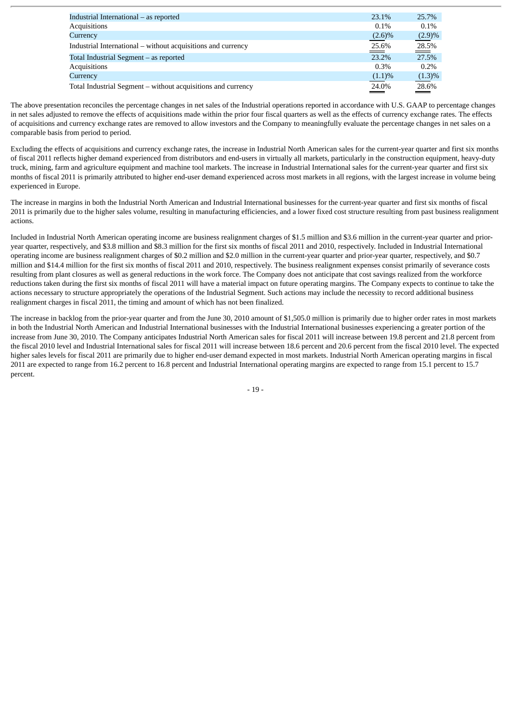| 23.1%     | 25.7%     |
|-----------|-----------|
| $0.1\%$   | 0.1%      |
| $(2.6)\%$ | (2.9)%    |
| 25.6%     | 28.5%     |
| 23.2%     | 27.5%     |
| $0.3\%$   | $0.2\%$   |
| $(1.1)\%$ | $(1.3)\%$ |
| 24.0%     | 28.6%     |
|           |           |

The above presentation reconciles the percentage changes in net sales of the Industrial operations reported in accordance with U.S. GAAP to percentage changes in net sales adjusted to remove the effects of acquisitions made within the prior four fiscal quarters as well as the effects of currency exchange rates. The effects of acquisitions and currency exchange rates are removed to allow investors and the Company to meaningfully evaluate the percentage changes in net sales on a comparable basis from period to period.

Excluding the effects of acquisitions and currency exchange rates, the increase in Industrial North American sales for the current-year quarter and first six months of fiscal 2011 reflects higher demand experienced from distributors and end-users in virtually all markets, particularly in the construction equipment, heavy-duty truck, mining, farm and agriculture equipment and machine tool markets. The increase in Industrial International sales for the current-year quarter and first six months of fiscal 2011 is primarily attributed to higher end-user demand experienced across most markets in all regions, with the largest increase in volume being experienced in Europe.

The increase in margins in both the Industrial North American and Industrial International businesses for the current-year quarter and first six months of fiscal 2011 is primarily due to the higher sales volume, resulting in manufacturing efficiencies, and a lower fixed cost structure resulting from past business realignment actions.

Included in Industrial North American operating income are business realignment charges of \$1.5 million and \$3.6 million in the current-year quarter and prioryear quarter, respectively, and \$3.8 million and \$8.3 million for the first six months of fiscal 2011 and 2010, respectively. Included in Industrial International operating income are business realignment charges of \$0.2 million and \$2.0 million in the current-year quarter and prior-year quarter, respectively, and \$0.7 million and \$14.4 million for the first six months of fiscal 2011 and 2010, respectively. The business realignment expenses consist primarily of severance costs resulting from plant closures as well as general reductions in the work force. The Company does not anticipate that cost savings realized from the workforce reductions taken during the first six months of fiscal 2011 will have a material impact on future operating margins. The Company expects to continue to take the actions necessary to structure appropriately the operations of the Industrial Segment. Such actions may include the necessity to record additional business realignment charges in fiscal 2011, the timing and amount of which has not been finalized.

The increase in backlog from the prior-year quarter and from the June 30, 2010 amount of \$1,505.0 million is primarily due to higher order rates in most markets in both the Industrial North American and Industrial International businesses with the Industrial International businesses experiencing a greater portion of the increase from June 30, 2010. The Company anticipates Industrial North American sales for fiscal 2011 will increase between 19.8 percent and 21.8 percent from the fiscal 2010 level and Industrial International sales for fiscal 2011 will increase between 18.6 percent and 20.6 percent from the fiscal 2010 level. The expected higher sales levels for fiscal 2011 are primarily due to higher end-user demand expected in most markets. Industrial North American operating margins in fiscal 2011 are expected to range from 16.2 percent to 16.8 percent and Industrial International operating margins are expected to range from 15.1 percent to 15.7 percent.

- 19 -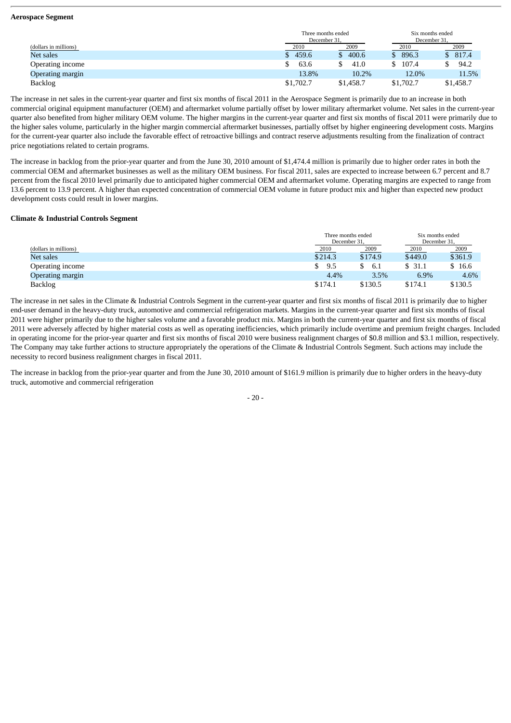#### **Aerospace Segment**

|                       |           | Three months ended<br>December 31. |              | Six months ended<br>December 31, |
|-----------------------|-----------|------------------------------------|--------------|----------------------------------|
| (dollars in millions) | 2010      | 2009                               | 2010         | 2009                             |
| Net sales             | \$459.6   | 400.6                              | 896.3<br>\$. | \$817.4                          |
| Operating income      | 63.6      | 41.0                               | \$107.4      | 94.2                             |
| Operating margin      | 13.8%     | 10.2%                              | 12.0%        | 11.5%                            |
| <b>Backlog</b>        | \$1,702.7 | \$1,458.7                          | \$1,702.7    | \$1,458.7                        |

The increase in net sales in the current-year quarter and first six months of fiscal 2011 in the Aerospace Segment is primarily due to an increase in both commercial original equipment manufacturer (OEM) and aftermarket volume partially offset by lower military aftermarket volume. Net sales in the current-year quarter also benefited from higher military OEM volume. The higher margins in the current-year quarter and first six months of fiscal 2011 were primarily due to the higher sales volume, particularly in the higher margin commercial aftermarket businesses, partially offset by higher engineering development costs. Margins for the current-year quarter also include the favorable effect of retroactive billings and contract reserve adjustments resulting from the finalization of contract price negotiations related to certain programs.

The increase in backlog from the prior-year quarter and from the June 30, 2010 amount of \$1,474.4 million is primarily due to higher order rates in both the commercial OEM and aftermarket businesses as well as the military OEM business. For fiscal 2011, sales are expected to increase between 6.7 percent and 8.7 percent from the fiscal 2010 level primarily due to anticipated higher commercial OEM and aftermarket volume. Operating margins are expected to range from 13.6 percent to 13.9 percent. A higher than expected concentration of commercial OEM volume in future product mix and higher than expected new product development costs could result in lower margins.

#### **Climate & Industrial Controls Segment**

|                       |         | Three months ended<br>December 31, |         | Six months ended<br>December 31, |
|-----------------------|---------|------------------------------------|---------|----------------------------------|
| (dollars in millions) | 2010    | 2009                               | 2010    | 2009                             |
| Net sales             | \$214.3 | \$174.9                            | \$449.0 | \$361.9                          |
| Operating income      | 9.5     | 6.1                                | \$31.1  | \$16.6                           |
| Operating margin      | 4.4%    | 3.5%                               | 6.9%    | 4.6%                             |
| <b>Backlog</b>        | \$174.1 | \$130.5                            | \$174.1 | \$130.5                          |

The increase in net sales in the Climate & Industrial Controls Segment in the current-year quarter and first six months of fiscal 2011 is primarily due to higher end-user demand in the heavy-duty truck, automotive and commercial refrigeration markets. Margins in the current-year quarter and first six months of fiscal 2011 were higher primarily due to the higher sales volume and a favorable product mix. Margins in both the current-year quarter and first six months of fiscal 2011 were adversely affected by higher material costs as well as operating inefficiencies, which primarily include overtime and premium freight charges. Included in operating income for the prior-year quarter and first six months of fiscal 2010 were business realignment charges of \$0.8 million and \$3.1 million, respectively. The Company may take further actions to structure appropriately the operations of the Climate & Industrial Controls Segment. Such actions may include the necessity to record business realignment charges in fiscal 2011.

The increase in backlog from the prior-year quarter and from the June 30, 2010 amount of \$161.9 million is primarily due to higher orders in the heavy-duty truck, automotive and commercial refrigeration

- 20 -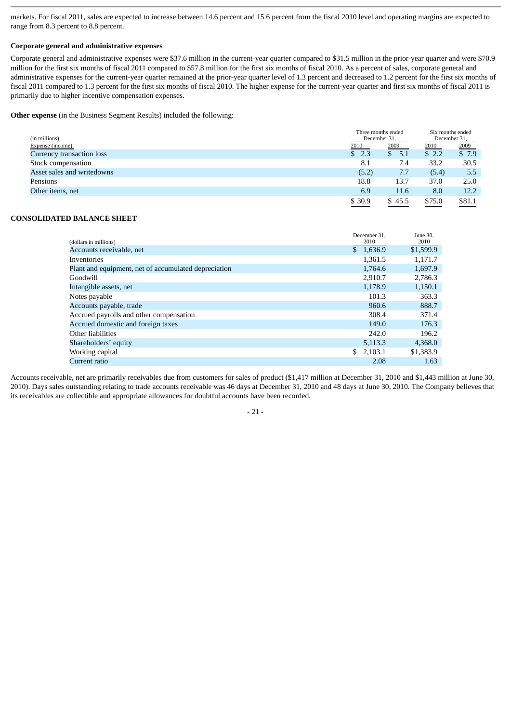markets. For fiscal 2011, sales are expected to increase between 14.6 percent and 15.6 percent from the fiscal 2010 level and operating margins are expected to range from 8.3 percent to 8.8 percent.

#### **Corporate general and administrative expenses**

Corporate general and administrative expenses were \$37.6 million in the current-year quarter compared to \$31.5 million in the prior-year quarter and were \$70.9 million for the first six months of fiscal 2011 compared to \$57.8 million for the first six months of fiscal 2010. As a percent of sales, corporate general and administrative expenses for the current-year quarter remained at the prior-year quarter level of 1.3 percent and decreased to 1.2 percent for the first six months of fiscal 2011 compared to 1.3 percent for the first six months of fiscal 2010. The higher expense for the current-year quarter and first six months of fiscal 2011 is primarily due to higher incentive compensation expenses.

**Other expense** (in the Business Segment Results) included the following:

| (in millions)              |        | Three months ended<br>December 31, |        | Six months ended<br>December 31, |  |
|----------------------------|--------|------------------------------------|--------|----------------------------------|--|
| Expense (income)           | 2010   | 2009                               |        | 2009                             |  |
| Currency transaction loss  | \$2.3  | 5.1<br>\$                          | \$2.2  | \$7.9                            |  |
| Stock compensation         | 8.1    | 7.4                                | 33.2   | 30.5                             |  |
| Asset sales and writedowns | (5.2)  | 7.7                                | (5.4)  | 5.5                              |  |
| Pensions                   | 18.8   | 13.7                               | 37.0   | 25.0                             |  |
| Other items, net           | 6.9    | 11.6                               | 8.0    | 12.2                             |  |
|                            | \$30.9 | \$45.5                             | \$75.0 | \$81.1                           |  |

#### **CONSOLIDATED BALANCE SHEET**

| (dollars in millions)                                | December 31,<br>2010 | June 30,<br>2010 |
|------------------------------------------------------|----------------------|------------------|
| Accounts receivable, net                             | \$1,636.9            | \$1,599.9        |
| <b>Inventories</b>                                   | 1.361.5              | 1.171.7          |
| Plant and equipment, net of accumulated depreciation | 1,764.6              | 1,697.9          |
| Goodwill                                             | 2.910.7              | 2,786.3          |
| Intangible assets, net                               | 1.178.9              | 1,150.1          |
| Notes payable                                        | 101.3                | 363.3            |
| Accounts payable, trade                              | 960.6                | 888.7            |
| Accrued payrolls and other compensation              | 308.4                | 371.4            |
| Accrued domestic and foreign taxes                   | 149.0                | 176.3            |
| Other liabilities                                    | 242.0                | 196.2            |
| Shareholders' equity                                 | 5.113.3              | 4,368.0          |
| Working capital                                      | \$<br>2,103.1        | \$1,383.9        |
| Current ratio                                        | 2.08                 | 1.63             |

Accounts receivable, net are primarily receivables due from customers for sales of product (\$1,417 million at December 31, 2010 and \$1,443 million at June 30, 2010). Days sales outstanding relating to trade accounts receivable was 46 days at December 31, 2010 and 48 days at June 30, 2010. The Company believes that its receivables are collectible and appropriate allowances for doubtful accounts have been recorded.

- 21 -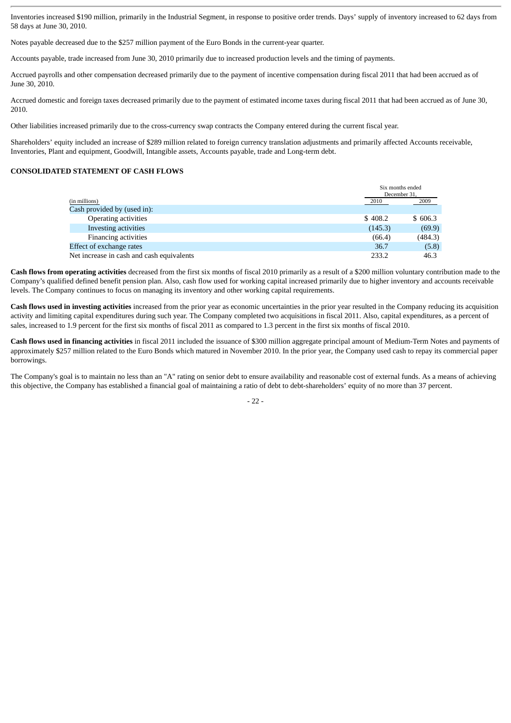Inventories increased \$190 million, primarily in the Industrial Segment, in response to positive order trends. Days' supply of inventory increased to 62 days from 58 days at June 30, 2010.

Notes payable decreased due to the \$257 million payment of the Euro Bonds in the current-year quarter.

Accounts payable, trade increased from June 30, 2010 primarily due to increased production levels and the timing of payments.

Accrued payrolls and other compensation decreased primarily due to the payment of incentive compensation during fiscal 2011 that had been accrued as of June 30, 2010.

Accrued domestic and foreign taxes decreased primarily due to the payment of estimated income taxes during fiscal 2011 that had been accrued as of June 30, 2010.

Other liabilities increased primarily due to the cross-currency swap contracts the Company entered during the current fiscal year.

Shareholders' equity included an increase of \$289 million related to foreign currency translation adjustments and primarily affected Accounts receivable, Inventories, Plant and equipment, Goodwill, Intangible assets, Accounts payable, trade and Long-term debt.

#### **CONSOLIDATED STATEMENT OF CASH FLOWS**

|                                           | Six months ended<br>December 31, |         |
|-------------------------------------------|----------------------------------|---------|
| (in millions)                             | 2010                             | 2009    |
| Cash provided by (used in):               |                                  |         |
| <b>Operating activities</b>               | \$408.2                          | \$606.3 |
| Investing activities                      | (145.3)                          | (69.9)  |
| <b>Financing activities</b>               | (66.4)                           | (484.3) |
| Effect of exchange rates                  | 36.7                             | (5.8)   |
| Net increase in cash and cash equivalents | 233.2                            | 46.3    |

**Cash flows from operating activities** decreased from the first six months of fiscal 2010 primarily as a result of a \$200 million voluntary contribution made to the Company's qualified defined benefit pension plan. Also, cash flow used for working capital increased primarily due to higher inventory and accounts receivable levels. The Company continues to focus on managing its inventory and other working capital requirements.

**Cash flows used in investing activities** increased from the prior year as economic uncertainties in the prior year resulted in the Company reducing its acquisition activity and limiting capital expenditures during such year. The Company completed two acquisitions in fiscal 2011. Also, capital expenditures, as a percent of sales, increased to 1.9 percent for the first six months of fiscal 2011 as compared to 1.3 percent in the first six months of fiscal 2010.

**Cash flows used in financing activities** in fiscal 2011 included the issuance of \$300 million aggregate principal amount of Medium-Term Notes and payments of approximately \$257 million related to the Euro Bonds which matured in November 2010. In the prior year, the Company used cash to repay its commercial paper borrowings.

The Company's goal is to maintain no less than an "A" rating on senior debt to ensure availability and reasonable cost of external funds. As a means of achieving this objective, the Company has established a financial goal of maintaining a ratio of debt to debt-shareholders' equity of no more than 37 percent.

- 22 -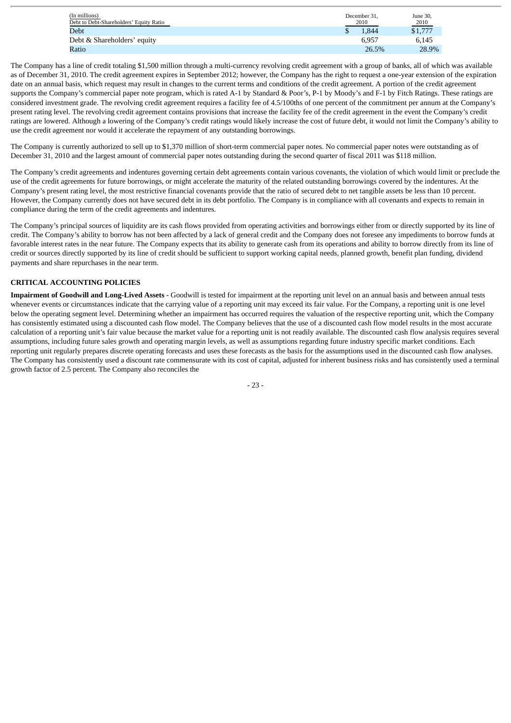| (In millions)<br>Debt to Debt-Shareholders' Equity Ratio | December 31,<br>2010 | June 30,<br>2010 |
|----------------------------------------------------------|----------------------|------------------|
| Debt                                                     | 1.844                | \$1,777          |
| Debt & Shareholders' equity                              | 6.957                | 6.145            |
| Ratio                                                    | 26.5%                | 28.9%            |

The Company has a line of credit totaling \$1,500 million through a multi-currency revolving credit agreement with a group of banks, all of which was available as of December 31, 2010. The credit agreement expires in September 2012; however, the Company has the right to request a one-year extension of the expiration date on an annual basis, which request may result in changes to the current terms and conditions of the credit agreement. A portion of the credit agreement supports the Company's commercial paper note program, which is rated A-1 by Standard & Poor's, P-1 by Moody's and F-1 by Fitch Ratings. These ratings are considered investment grade. The revolving credit agreement requires a facility fee of 4.5/100ths of one percent of the commitment per annum at the Company's present rating level. The revolving credit agreement contains provisions that increase the facility fee of the credit agreement in the event the Company's credit ratings are lowered. Although a lowering of the Company's credit ratings would likely increase the cost of future debt, it would not limit the Company's ability to use the credit agreement nor would it accelerate the repayment of any outstanding borrowings.

The Company is currently authorized to sell up to \$1,370 million of short-term commercial paper notes. No commercial paper notes were outstanding as of December 31, 2010 and the largest amount of commercial paper notes outstanding during the second quarter of fiscal 2011 was \$118 million.

The Company's credit agreements and indentures governing certain debt agreements contain various covenants, the violation of which would limit or preclude the use of the credit agreements for future borrowings, or might accelerate the maturity of the related outstanding borrowings covered by the indentures. At the Company's present rating level, the most restrictive financial covenants provide that the ratio of secured debt to net tangible assets be less than 10 percent. However, the Company currently does not have secured debt in its debt portfolio. The Company is in compliance with all covenants and expects to remain in compliance during the term of the credit agreements and indentures.

The Company's principal sources of liquidity are its cash flows provided from operating activities and borrowings either from or directly supported by its line of credit. The Company's ability to borrow has not been affected by a lack of general credit and the Company does not foresee any impediments to borrow funds at favorable interest rates in the near future. The Company expects that its ability to generate cash from its operations and ability to borrow directly from its line of credit or sources directly supported by its line of credit should be sufficient to support working capital needs, planned growth, benefit plan funding, dividend payments and share repurchases in the near term.

## **CRITICAL ACCOUNTING POLICIES**

**Impairment of Goodwill and Long-Lived Assets** - Goodwill is tested for impairment at the reporting unit level on an annual basis and between annual tests whenever events or circumstances indicate that the carrying value of a reporting unit may exceed its fair value. For the Company, a reporting unit is one level below the operating segment level. Determining whether an impairment has occurred requires the valuation of the respective reporting unit, which the Company has consistently estimated using a discounted cash flow model. The Company believes that the use of a discounted cash flow model results in the most accurate calculation of a reporting unit's fair value because the market value for a reporting unit is not readily available. The discounted cash flow analysis requires several assumptions, including future sales growth and operating margin levels, as well as assumptions regarding future industry specific market conditions. Each reporting unit regularly prepares discrete operating forecasts and uses these forecasts as the basis for the assumptions used in the discounted cash flow analyses. The Company has consistently used a discount rate commensurate with its cost of capital, adjusted for inherent business risks and has consistently used a terminal growth factor of 2.5 percent. The Company also reconciles the

- 23 -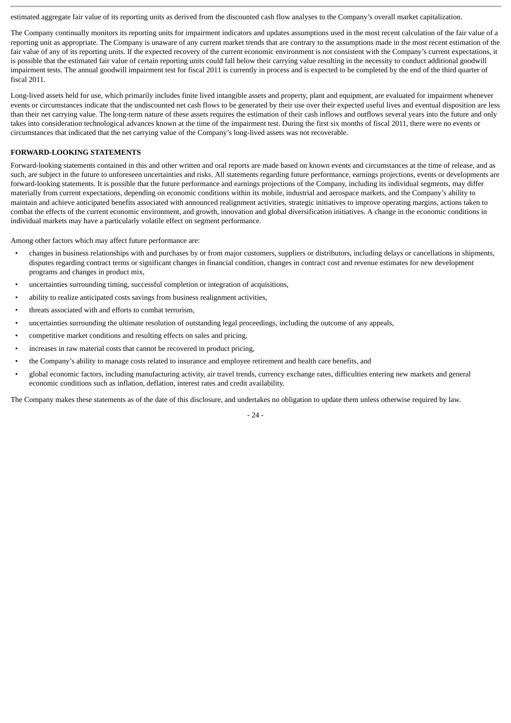estimated aggregate fair value of its reporting units as derived from the discounted cash flow analyses to the Company's overall market capitalization.

The Company continually monitors its reporting units for impairment indicators and updates assumptions used in the most recent calculation of the fair value of a reporting unit as appropriate. The Company is unaware of any current market trends that are contrary to the assumptions made in the most recent estimation of the fair value of any of its reporting units. If the expected recovery of the current economic environment is not consistent with the Company's current expectations, it is possible that the estimated fair value of certain reporting units could fall below their carrying value resulting in the necessity to conduct additional goodwill impairment tests. The annual goodwill impairment test for fiscal 2011 is currently in process and is expected to be completed by the end of the third quarter of fiscal 2011.

Long-lived assets held for use, which primarily includes finite lived intangible assets and property, plant and equipment, are evaluated for impairment whenever events or circumstances indicate that the undiscounted net cash flows to be generated by their use over their expected useful lives and eventual disposition are less than their net carrying value. The long-term nature of these assets requires the estimation of their cash inflows and outflows several years into the future and only takes into consideration technological advances known at the time of the impairment test. During the first six months of fiscal 2011, there were no events or circumstances that indicated that the net carrying value of the Company's long-lived assets was not recoverable.

#### **FORWARD-LOOKING STATEMENTS**

Forward-looking statements contained in this and other written and oral reports are made based on known events and circumstances at the time of release, and as such, are subject in the future to unforeseen uncertainties and risks. All statements regarding future performance, earnings projections, events or developments are forward-looking statements. It is possible that the future performance and earnings projections of the Company, including its individual segments, may differ materially from current expectations, depending on economic conditions within its mobile, industrial and aerospace markets, and the Company's ability to maintain and achieve anticipated benefits associated with announced realignment activities, strategic initiatives to improve operating margins, actions taken to combat the effects of the current economic environment, and growth, innovation and global diversification initiatives. A change in the economic conditions in individual markets may have a particularly volatile effect on segment performance.

Among other factors which may affect future performance are:

- changes in business relationships with and purchases by or from major customers, suppliers or distributors, including delays or cancellations in shipments, disputes regarding contract terms or significant changes in financial condition, changes in contract cost and revenue estimates for new development programs and changes in product mix,
- uncertainties surrounding timing, successful completion or integration of acquisitions,
- ability to realize anticipated costs savings from business realignment activities,
- threats associated with and efforts to combat terrorism,
- uncertainties surrounding the ultimate resolution of outstanding legal proceedings, including the outcome of any appeals,
- competitive market conditions and resulting effects on sales and pricing,
- increases in raw material costs that cannot be recovered in product pricing,
- the Company's ability to manage costs related to insurance and employee retirement and health care benefits, and
- global economic factors, including manufacturing activity, air travel trends, currency exchange rates, difficulties entering new markets and general economic conditions such as inflation, deflation, interest rates and credit availability.

The Company makes these statements as of the date of this disclosure, and undertakes no obligation to update them unless otherwise required by law.

 $-24-$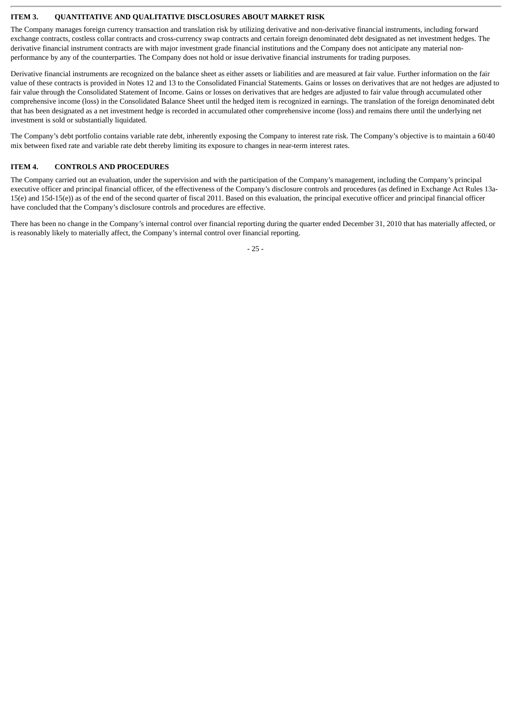## **ITEM 3. QUANTITATIVE AND QUALITATIVE DISCLOSURES ABOUT MARKET RISK**

The Company manages foreign currency transaction and translation risk by utilizing derivative and non-derivative financial instruments, including forward exchange contracts, costless collar contracts and cross-currency swap contracts and certain foreign denominated debt designated as net investment hedges. The derivative financial instrument contracts are with major investment grade financial institutions and the Company does not anticipate any material nonperformance by any of the counterparties. The Company does not hold or issue derivative financial instruments for trading purposes.

Derivative financial instruments are recognized on the balance sheet as either assets or liabilities and are measured at fair value. Further information on the fair value of these contracts is provided in Notes 12 and 13 to the Consolidated Financial Statements. Gains or losses on derivatives that are not hedges are adjusted to fair value through the Consolidated Statement of Income. Gains or losses on derivatives that are hedges are adjusted to fair value through accumulated other comprehensive income (loss) in the Consolidated Balance Sheet until the hedged item is recognized in earnings. The translation of the foreign denominated debt that has been designated as a net investment hedge is recorded in accumulated other comprehensive income (loss) and remains there until the underlying net investment is sold or substantially liquidated.

The Company's debt portfolio contains variable rate debt, inherently exposing the Company to interest rate risk. The Company's objective is to maintain a 60/40 mix between fixed rate and variable rate debt thereby limiting its exposure to changes in near-term interest rates.

### **ITEM 4. CONTROLS AND PROCEDURES**

The Company carried out an evaluation, under the supervision and with the participation of the Company's management, including the Company's principal executive officer and principal financial officer, of the effectiveness of the Company's disclosure controls and procedures (as defined in Exchange Act Rules 13a-15(e) and 15d-15(e)) as of the end of the second quarter of fiscal 2011. Based on this evaluation, the principal executive officer and principal financial officer have concluded that the Company's disclosure controls and procedures are effective.

There has been no change in the Company's internal control over financial reporting during the quarter ended December 31, 2010 that has materially affected, or is reasonably likely to materially affect, the Company's internal control over financial reporting.

- 25 -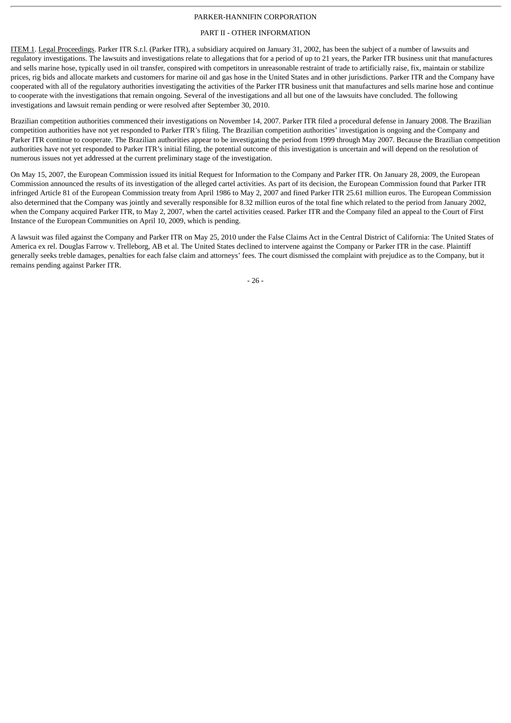#### PARKER-HANNIFIN CORPORATION

## PART II - OTHER INFORMATION

ITEM 1. Legal Proceedings. Parker ITR S.r.l. (Parker ITR), a subsidiary acquired on January 31, 2002, has been the subject of a number of lawsuits and regulatory investigations. The lawsuits and investigations relate to allegations that for a period of up to 21 years, the Parker ITR business unit that manufactures and sells marine hose, typically used in oil transfer, conspired with competitors in unreasonable restraint of trade to artificially raise, fix, maintain or stabilize prices, rig bids and allocate markets and customers for marine oil and gas hose in the United States and in other jurisdictions. Parker ITR and the Company have cooperated with all of the regulatory authorities investigating the activities of the Parker ITR business unit that manufactures and sells marine hose and continue to cooperate with the investigations that remain ongoing. Several of the investigations and all but one of the lawsuits have concluded. The following investigations and lawsuit remain pending or were resolved after September 30, 2010.

Brazilian competition authorities commenced their investigations on November 14, 2007. Parker ITR filed a procedural defense in January 2008. The Brazilian competition authorities have not yet responded to Parker ITR's filing. The Brazilian competition authorities' investigation is ongoing and the Company and Parker ITR continue to cooperate. The Brazilian authorities appear to be investigating the period from 1999 through May 2007. Because the Brazilian competition authorities have not yet responded to Parker ITR's initial filing, the potential outcome of this investigation is uncertain and will depend on the resolution of numerous issues not yet addressed at the current preliminary stage of the investigation.

On May 15, 2007, the European Commission issued its initial Request for Information to the Company and Parker ITR. On January 28, 2009, the European Commission announced the results of its investigation of the alleged cartel activities. As part of its decision, the European Commission found that Parker ITR infringed Article 81 of the European Commission treaty from April 1986 to May 2, 2007 and fined Parker ITR 25.61 million euros. The European Commission also determined that the Company was jointly and severally responsible for 8.32 million euros of the total fine which related to the period from January 2002, when the Company acquired Parker ITR, to May 2, 2007, when the cartel activities ceased. Parker ITR and the Company filed an appeal to the Court of First Instance of the European Communities on April 10, 2009, which is pending.

A lawsuit was filed against the Company and Parker ITR on May 25, 2010 under the False Claims Act in the Central District of California: The United States of America ex rel. Douglas Farrow v. Trelleborg, AB et al. The United States declined to intervene against the Company or Parker ITR in the case. Plaintiff generally seeks treble damages, penalties for each false claim and attorneys' fees. The court dismissed the complaint with prejudice as to the Company, but it remains pending against Parker ITR.

- 26 -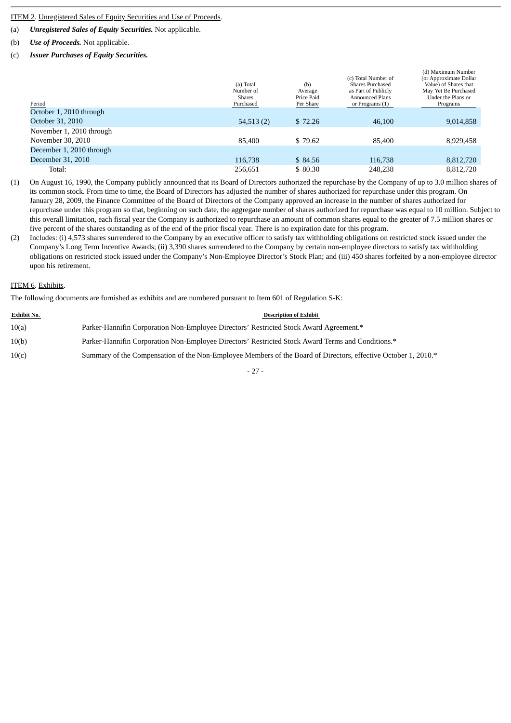## ITEM 2. Unregistered Sales of Equity Securities and Use of Proceeds.

- (a) *Unregistered Sales of Equity Securities.* Not applicable.
- (b) *Use of Proceeds.* Not applicable.
- (c) *Issuer Purchases of Equity Securities.*

| Period                   | (a) Total<br>Number of<br><b>Shares</b><br>Purchased | (b)<br>Average<br>Price Paid<br>Per Share | (c) Total Number of<br>Shares Purchased<br>as Part of Publicly<br><b>Announced Plans</b><br>or Programs (1) | (d) Maximum Number<br>(or Approximate Dollar<br>Value) of Shares that<br>May Yet Be Purchased<br>Under the Plans or<br>Programs |
|--------------------------|------------------------------------------------------|-------------------------------------------|-------------------------------------------------------------------------------------------------------------|---------------------------------------------------------------------------------------------------------------------------------|
| October 1, 2010 through  |                                                      |                                           |                                                                                                             |                                                                                                                                 |
| October 31, 2010         | 54,513(2)                                            | \$72.26                                   | 46,100                                                                                                      | 9,014,858                                                                                                                       |
| November 1, 2010 through |                                                      |                                           |                                                                                                             |                                                                                                                                 |
| November 30, 2010        | 85,400                                               | \$79.62                                   | 85,400                                                                                                      | 8,929,458                                                                                                                       |
| December 1, 2010 through |                                                      |                                           |                                                                                                             |                                                                                                                                 |
| December 31, 2010        | 116,738                                              | \$84.56                                   | 116,738                                                                                                     | 8,812,720                                                                                                                       |
| Total:                   | 256,651                                              | \$80.30                                   | 248,238                                                                                                     | 8,812,720                                                                                                                       |

(1) On August 16, 1990, the Company publicly announced that its Board of Directors authorized the repurchase by the Company of up to 3.0 million shares of its common stock. From time to time, the Board of Directors has adjusted the number of shares authorized for repurchase under this program. On January 28, 2009, the Finance Committee of the Board of Directors of the Company approved an increase in the number of shares authorized for repurchase under this program so that, beginning on such date, the aggregate number of shares authorized for repurchase was equal to 10 million. Subject to this overall limitation, each fiscal year the Company is authorized to repurchase an amount of common shares equal to the greater of 7.5 million shares or five percent of the shares outstanding as of the end of the prior fiscal year. There is no expiration date for this program.

(2) Includes: (i) 4,573 shares surrendered to the Company by an executive officer to satisfy tax withholding obligations on restricted stock issued under the Company's Long Term Incentive Awards; (ii) 3,390 shares surrendered to the Company by certain non-employee directors to satisfy tax withholding obligations on restricted stock issued under the Company's Non-Employee Director's Stock Plan; and (iii) 450 shares forfeited by a non-employee director upon his retirement.

#### ITEM 6. Exhibits.

The following documents are furnished as exhibits and are numbered pursuant to Item 601 of Regulation S-K:

| Exhibit No. | <b>Description of Exhibit</b>                                                                                  |
|-------------|----------------------------------------------------------------------------------------------------------------|
| 10(a)       | Parker-Hannifin Corporation Non-Employee Directors' Restricted Stock Award Agreement.*                         |
| 10(b)       | Parker-Hannifin Corporation Non-Employee Directors' Restricted Stock Award Terms and Conditions.*              |
| 10(c)       | Summary of the Compensation of the Non-Employee Members of the Board of Directors, effective October 1, 2010.* |

- 27 -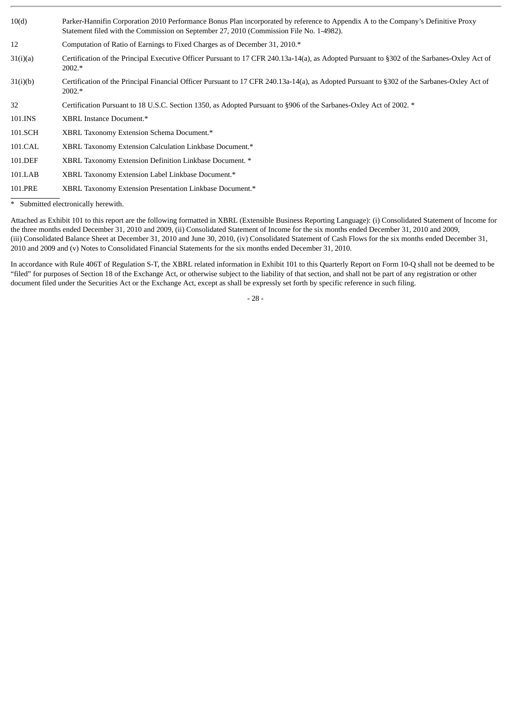| 10(d)    | Parker-Hannifin Corporation 2010 Performance Bonus Plan incorporated by reference to Appendix A to the Company's Definitive Proxy<br>Statement filed with the Commission on September 27, 2010 (Commission File No. 1-4982). |
|----------|------------------------------------------------------------------------------------------------------------------------------------------------------------------------------------------------------------------------------|
| 12       | Computation of Ratio of Earnings to Fixed Charges as of December 31, 2010.*                                                                                                                                                  |
| 31(i)(a) | Certification of the Principal Executive Officer Pursuant to 17 CFR 240.13a-14(a), as Adopted Pursuant to §302 of the Sarbanes-Oxley Act of<br>$2002.*$                                                                      |
| 31(i)(b) | Certification of the Principal Financial Officer Pursuant to 17 CFR 240.13a-14(a), as Adopted Pursuant to §302 of the Sarbanes-Oxley Act of<br>$2002.*$                                                                      |
| 32       | Certification Pursuant to 18 U.S.C. Section 1350, as Adopted Pursuant to §906 of the Sarbanes-Oxley Act of 2002. *                                                                                                           |
| 101.INS  | XBRL Instance Document.*                                                                                                                                                                                                     |
| 101.SCH  | XBRL Taxonomy Extension Schema Document.*                                                                                                                                                                                    |
| 101.CAL  | XBRL Taxonomy Extension Calculation Linkbase Document.*                                                                                                                                                                      |
| 101.DEF  | XBRL Taxonomy Extension Definition Linkbase Document. *                                                                                                                                                                      |
| 101.LAB  | XBRL Taxonomy Extension Label Linkbase Document.*                                                                                                                                                                            |
| 101.PRE  | XBRL Taxonomy Extension Presentation Linkbase Document.*                                                                                                                                                                     |

\* Submitted electronically herewith.

Attached as Exhibit 101 to this report are the following formatted in XBRL (Extensible Business Reporting Language): (i) Consolidated Statement of Income for the three months ended December 31, 2010 and 2009, (ii) Consolidated Statement of Income for the six months ended December 31, 2010 and 2009, (iii) Consolidated Balance Sheet at December 31, 2010 and June 30, 2010, (iv) Consolidated Statement of Cash Flows for the six months ended December 31, 2010 and 2009 and (v) Notes to Consolidated Financial Statements for the six months ended December 31, 2010.

In accordance with Rule 406T of Regulation S-T, the XBRL related information in Exhibit 101 to this Quarterly Report on Form 10-Q shall not be deemed to be "filed" for purposes of Section 18 of the Exchange Act, or otherwise subject to the liability of that section, and shall not be part of any registration or other document filed under the Securities Act or the Exchange Act, except as shall be expressly set forth by specific reference in such filing.

- 28 -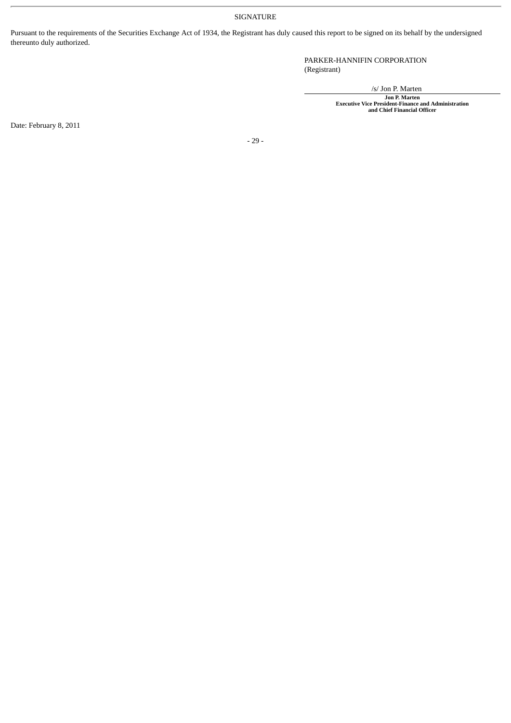SIGNATURE

Pursuant to the requirements of the Securities Exchange Act of 1934, the Registrant has duly caused this report to be signed on its behalf by the undersigned thereunto duly authorized.

#### PARKER-HANNIFIN CORPORATION (Registrant)

/s/ Jon P. Marten **Jon P. Marten Executive Vice President-Finance and Administration and Chief Financial Officer**

Date: February 8, 2011

- 29 -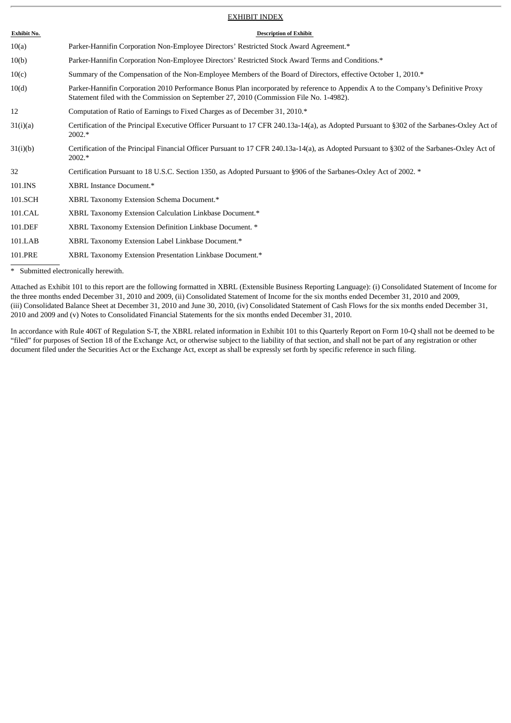| <b>Exhibit No.</b> | <b>Description of Exhibit</b>                                                                                                                                                                                                |
|--------------------|------------------------------------------------------------------------------------------------------------------------------------------------------------------------------------------------------------------------------|
| 10(a)              | Parker-Hannifin Corporation Non-Employee Directors' Restricted Stock Award Agreement.*                                                                                                                                       |
| 10(b)              | Parker-Hannifin Corporation Non-Employee Directors' Restricted Stock Award Terms and Conditions.*                                                                                                                            |
| 10(c)              | Summary of the Compensation of the Non-Employee Members of the Board of Directors, effective October 1, 2010.*                                                                                                               |
| 10(d)              | Parker-Hannifin Corporation 2010 Performance Bonus Plan incorporated by reference to Appendix A to the Company's Definitive Proxy<br>Statement filed with the Commission on September 27, 2010 (Commission File No. 1-4982). |
| 12                 | Computation of Ratio of Earnings to Fixed Charges as of December 31, 2010.*                                                                                                                                                  |
| 31(i)(a)           | Certification of the Principal Executive Officer Pursuant to 17 CFR 240.13a-14(a), as Adopted Pursuant to §302 of the Sarbanes-Oxley Act of<br>$2002.*$                                                                      |
| 31(i)(b)           | Certification of the Principal Financial Officer Pursuant to 17 CFR 240.13a-14(a), as Adopted Pursuant to §302 of the Sarbanes-Oxley Act of<br>$2002.*$                                                                      |
| 32                 | Certification Pursuant to 18 U.S.C. Section 1350, as Adopted Pursuant to §906 of the Sarbanes-Oxley Act of 2002. *                                                                                                           |
| 101.INS            | XBRL Instance Document.*                                                                                                                                                                                                     |
| 101.SCH            | XBRL Taxonomy Extension Schema Document.*                                                                                                                                                                                    |
| 101.CAL            | XBRL Taxonomy Extension Calculation Linkbase Document.*                                                                                                                                                                      |
| 101.DEF            | XBRL Taxonomy Extension Definition Linkbase Document. *                                                                                                                                                                      |
| 101.LAB            | XBRL Taxonomy Extension Label Linkbase Document.*                                                                                                                                                                            |
| 101.PRE            | XBRL Taxonomy Extension Presentation Linkbase Document.*                                                                                                                                                                     |

EXHIBIT INDEX

\* Submitted electronically herewith.

Attached as Exhibit 101 to this report are the following formatted in XBRL (Extensible Business Reporting Language): (i) Consolidated Statement of Income for the three months ended December 31, 2010 and 2009, (ii) Consolidated Statement of Income for the six months ended December 31, 2010 and 2009, (iii) Consolidated Balance Sheet at December 31, 2010 and June 30, 2010, (iv) Consolidated Statement of Cash Flows for the six months ended December 31, 2010 and 2009 and (v) Notes to Consolidated Financial Statements for the six months ended December 31, 2010.

In accordance with Rule 406T of Regulation S-T, the XBRL related information in Exhibit 101 to this Quarterly Report on Form 10-Q shall not be deemed to be "filed" for purposes of Section 18 of the Exchange Act, or otherwise subject to the liability of that section, and shall not be part of any registration or other document filed under the Securities Act or the Exchange Act, except as shall be expressly set forth by specific reference in such filing.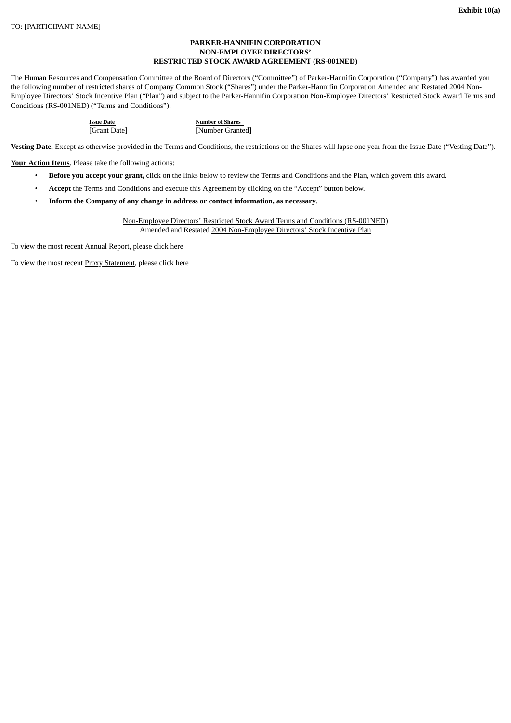#### **PARKER-HANNIFIN CORPORATION NON-EMPLOYEE DIRECTORS' RESTRICTED STOCK AWARD AGREEMENT (RS-001NED)**

The Human Resources and Compensation Committee of the Board of Directors ("Committee") of Parker-Hannifin Corporation ("Company") has awarded you the following number of restricted shares of Company Common Stock ("Shares") under the Parker-Hannifin Corporation Amended and Restated 2004 Non-Employee Directors' Stock Incentive Plan ("Plan") and subject to the Parker-Hannifin Corporation Non-Employee Directors' Restricted Stock Award Terms and Conditions (RS-001NED) ("Terms and Conditions"):

**Issue Date Number of Shares**

[Grant Date] [Number Granted]

**Vesting Date.** Except as otherwise provided in the Terms and Conditions, the restrictions on the Shares will lapse one year from the Issue Date ("Vesting Date").

**Your Action Items**. Please take the following actions:

- **Before you accept your grant,** click on the links below to review the Terms and Conditions and the Plan, which govern this award.
- **Accept** the Terms and Conditions and execute this Agreement by clicking on the "Accept" button below.
- **Inform the Company of any change in address or contact information, as necessary**.

Non-Employee Directors' Restricted Stock Award Terms and Conditions (RS-001NED) Amended and Restated 2004 Non-Employee Directors' Stock Incentive Plan

To view the most recent Annual Report, please click here

To view the most recent Proxy Statement, please click here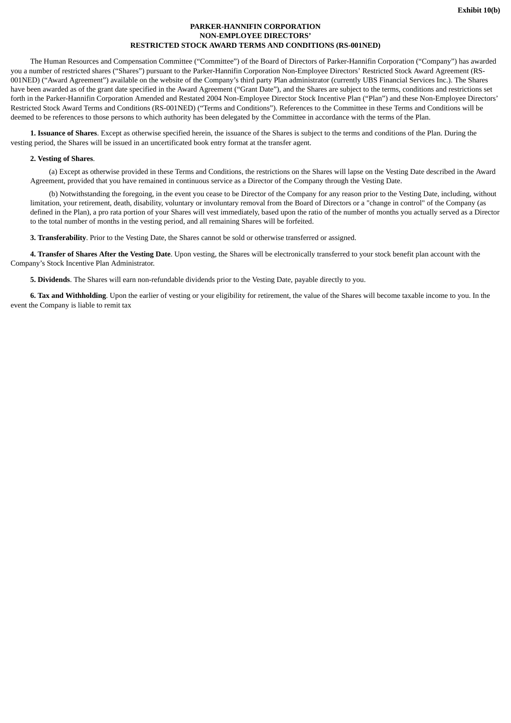## **PARKER-HANNIFIN CORPORATION NON-EMPLOYEE DIRECTORS' RESTRICTED STOCK AWARD TERMS AND CONDITIONS (RS-001NED)**

The Human Resources and Compensation Committee ("Committee") of the Board of Directors of Parker-Hannifin Corporation ("Company") has awarded you a number of restricted shares ("Shares") pursuant to the Parker-Hannifin Corporation Non-Employee Directors' Restricted Stock Award Agreement (RS-001NED) ("Award Agreement") available on the website of the Company's third party Plan administrator (currently UBS Financial Services Inc.). The Shares have been awarded as of the grant date specified in the Award Agreement ("Grant Date"), and the Shares are subject to the terms, conditions and restrictions set forth in the Parker-Hannifin Corporation Amended and Restated 2004 Non-Employee Director Stock Incentive Plan ("Plan") and these Non-Employee Directors' Restricted Stock Award Terms and Conditions (RS-001NED) ("Terms and Conditions"). References to the Committee in these Terms and Conditions will be deemed to be references to those persons to which authority has been delegated by the Committee in accordance with the terms of the Plan.

**1. Issuance of Shares**. Except as otherwise specified herein, the issuance of the Shares is subject to the terms and conditions of the Plan. During the vesting period, the Shares will be issued in an uncertificated book entry format at the transfer agent.

#### **2. Vesting of Shares**.

(a) Except as otherwise provided in these Terms and Conditions, the restrictions on the Shares will lapse on the Vesting Date described in the Award Agreement, provided that you have remained in continuous service as a Director of the Company through the Vesting Date.

(b) Notwithstanding the foregoing, in the event you cease to be Director of the Company for any reason prior to the Vesting Date, including, without limitation, your retirement, death, disability, voluntary or involuntary removal from the Board of Directors or a "change in control" of the Company (as defined in the Plan), a pro rata portion of your Shares will vest immediately, based upon the ratio of the number of months you actually served as a Director to the total number of months in the vesting period, and all remaining Shares will be forfeited.

**3. Transferability**. Prior to the Vesting Date, the Shares cannot be sold or otherwise transferred or assigned.

**4. Transfer of Shares After the Vesting Date**. Upon vesting, the Shares will be electronically transferred to your stock benefit plan account with the Company's Stock Incentive Plan Administrator.

**5. Dividends**. The Shares will earn non-refundable dividends prior to the Vesting Date, payable directly to you.

**6. Tax and Withholding**. Upon the earlier of vesting or your eligibility for retirement, the value of the Shares will become taxable income to you. In the event the Company is liable to remit tax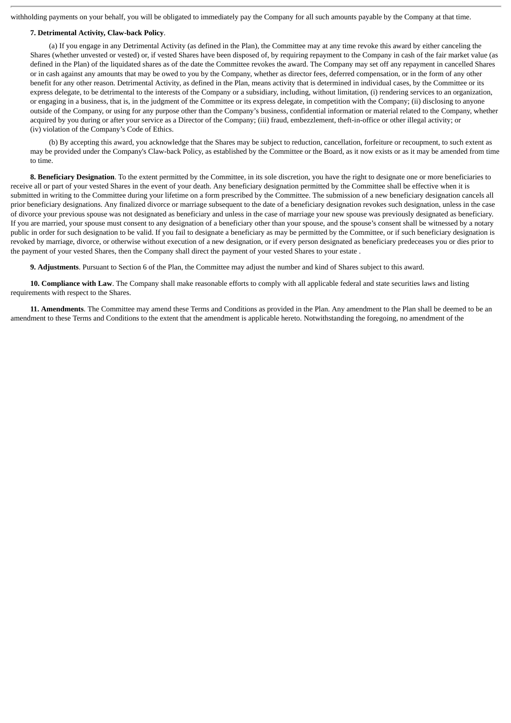withholding payments on your behalf, you will be obligated to immediately pay the Company for all such amounts payable by the Company at that time.

#### **7. Detrimental Activity, Claw-back Policy**.

(a) If you engage in any Detrimental Activity (as defined in the Plan), the Committee may at any time revoke this award by either canceling the Shares (whether unvested or vested) or, if vested Shares have been disposed of, by requiring repayment to the Company in cash of the fair market value (as defined in the Plan) of the liquidated shares as of the date the Committee revokes the award. The Company may set off any repayment in cancelled Shares or in cash against any amounts that may be owed to you by the Company, whether as director fees, deferred compensation, or in the form of any other benefit for any other reason. Detrimental Activity, as defined in the Plan, means activity that is determined in individual cases, by the Committee or its express delegate, to be detrimental to the interests of the Company or a subsidiary, including, without limitation, (i) rendering services to an organization, or engaging in a business, that is, in the judgment of the Committee or its express delegate, in competition with the Company; (ii) disclosing to anyone outside of the Company, or using for any purpose other than the Company's business, confidential information or material related to the Company, whether acquired by you during or after your service as a Director of the Company; (iii) fraud, embezzlement, theft-in-office or other illegal activity; or (iv) violation of the Company's Code of Ethics.

(b) By accepting this award, you acknowledge that the Shares may be subject to reduction, cancellation, forfeiture or recoupment, to such extent as may be provided under the Company's Claw-back Policy, as established by the Committee or the Board, as it now exists or as it may be amended from time to time.

**8. Beneficiary Designation**. To the extent permitted by the Committee, in its sole discretion, you have the right to designate one or more beneficiaries to receive all or part of your vested Shares in the event of your death. Any beneficiary designation permitted by the Committee shall be effective when it is submitted in writing to the Committee during your lifetime on a form prescribed by the Committee. The submission of a new beneficiary designation cancels all prior beneficiary designations. Any finalized divorce or marriage subsequent to the date of a beneficiary designation revokes such designation, unless in the case of divorce your previous spouse was not designated as beneficiary and unless in the case of marriage your new spouse was previously designated as beneficiary. If you are married, your spouse must consent to any designation of a beneficiary other than your spouse, and the spouse's consent shall be witnessed by a notary public in order for such designation to be valid. If you fail to designate a beneficiary as may be permitted by the Committee, or if such beneficiary designation is revoked by marriage, divorce, or otherwise without execution of a new designation, or if every person designated as beneficiary predeceases you or dies prior to the payment of your vested Shares, then the Company shall direct the payment of your vested Shares to your estate .

**9. Adjustments**. Pursuant to Section 6 of the Plan, the Committee may adjust the number and kind of Shares subject to this award.

**10. Compliance with Law**. The Company shall make reasonable efforts to comply with all applicable federal and state securities laws and listing requirements with respect to the Shares.

**11. Amendments**. The Committee may amend these Terms and Conditions as provided in the Plan. Any amendment to the Plan shall be deemed to be an amendment to these Terms and Conditions to the extent that the amendment is applicable hereto. Notwithstanding the foregoing, no amendment of the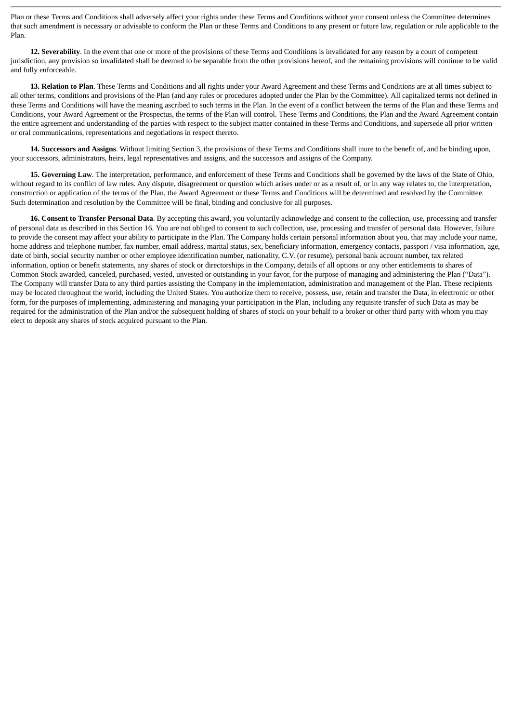Plan or these Terms and Conditions shall adversely affect your rights under these Terms and Conditions without your consent unless the Committee determines that such amendment is necessary or advisable to conform the Plan or these Terms and Conditions to any present or future law, regulation or rule applicable to the Plan.

**12. Severability**. In the event that one or more of the provisions of these Terms and Conditions is invalidated for any reason by a court of competent jurisdiction, any provision so invalidated shall be deemed to be separable from the other provisions hereof, and the remaining provisions will continue to be valid and fully enforceable.

**13. Relation to Plan**. These Terms and Conditions and all rights under your Award Agreement and these Terms and Conditions are at all times subject to all other terms, conditions and provisions of the Plan (and any rules or procedures adopted under the Plan by the Committee). All capitalized terms not defined in these Terms and Conditions will have the meaning ascribed to such terms in the Plan. In the event of a conflict between the terms of the Plan and these Terms and Conditions, your Award Agreement or the Prospectus, the terms of the Plan will control. These Terms and Conditions, the Plan and the Award Agreement contain the entire agreement and understanding of the parties with respect to the subject matter contained in these Terms and Conditions, and supersede all prior written or oral communications, representations and negotiations in respect thereto.

**14. Successors and Assigns**. Without limiting Section 3, the provisions of these Terms and Conditions shall inure to the benefit of, and be binding upon, your successors, administrators, heirs, legal representatives and assigns, and the successors and assigns of the Company.

**15. Governing Law**. The interpretation, performance, and enforcement of these Terms and Conditions shall be governed by the laws of the State of Ohio, without regard to its conflict of law rules. Any dispute, disagreement or question which arises under or as a result of, or in any way relates to, the interpretation, construction or application of the terms of the Plan, the Award Agreement or these Terms and Conditions will be determined and resolved by the Committee. Such determination and resolution by the Committee will be final, binding and conclusive for all purposes.

**16. Consent to Transfer Personal Data**. By accepting this award, you voluntarily acknowledge and consent to the collection, use, processing and transfer of personal data as described in this Section 16. You are not obliged to consent to such collection, use, processing and transfer of personal data. However, failure to provide the consent may affect your ability to participate in the Plan. The Company holds certain personal information about you, that may include your name, home address and telephone number, fax number, email address, marital status, sex, beneficiary information, emergency contacts, passport / visa information, age, date of birth, social security number or other employee identification number, nationality, C.V. (or resume), personal bank account number, tax related information, option or benefit statements, any shares of stock or directorships in the Company, details of all options or any other entitlements to shares of Common Stock awarded, canceled, purchased, vested, unvested or outstanding in your favor, for the purpose of managing and administering the Plan ("Data"). The Company will transfer Data to any third parties assisting the Company in the implementation, administration and management of the Plan. These recipients may be located throughout the world, including the United States. You authorize them to receive, possess, use, retain and transfer the Data, in electronic or other form, for the purposes of implementing, administering and managing your participation in the Plan, including any requisite transfer of such Data as may be required for the administration of the Plan and/or the subsequent holding of shares of stock on your behalf to a broker or other third party with whom you may elect to deposit any shares of stock acquired pursuant to the Plan.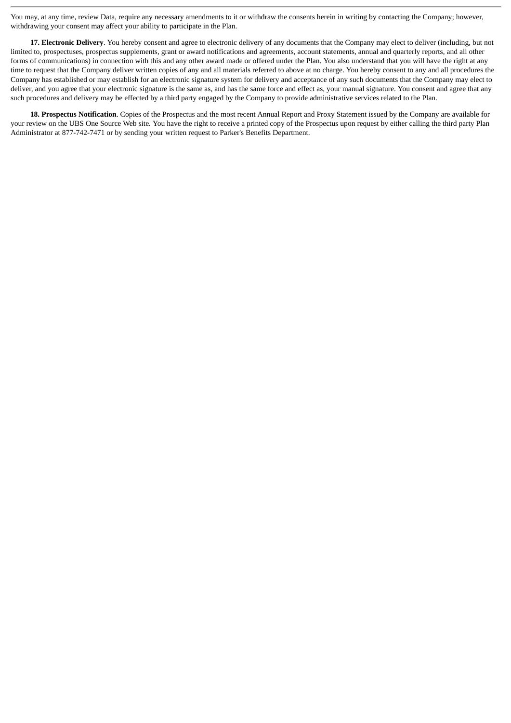You may, at any time, review Data, require any necessary amendments to it or withdraw the consents herein in writing by contacting the Company; however, withdrawing your consent may affect your ability to participate in the Plan.

**17. Electronic Delivery**. You hereby consent and agree to electronic delivery of any documents that the Company may elect to deliver (including, but not limited to, prospectuses, prospectus supplements, grant or award notifications and agreements, account statements, annual and quarterly reports, and all other forms of communications) in connection with this and any other award made or offered under the Plan. You also understand that you will have the right at any time to request that the Company deliver written copies of any and all materials referred to above at no charge. You hereby consent to any and all procedures the Company has established or may establish for an electronic signature system for delivery and acceptance of any such documents that the Company may elect to deliver, and you agree that your electronic signature is the same as, and has the same force and effect as, your manual signature. You consent and agree that any such procedures and delivery may be effected by a third party engaged by the Company to provide administrative services related to the Plan.

**18. Prospectus Notification**. Copies of the Prospectus and the most recent Annual Report and Proxy Statement issued by the Company are available for your review on the UBS One Source Web site. You have the right to receive a printed copy of the Prospectus upon request by either calling the third party Plan Administrator at 877-742-7471 or by sending your written request to Parker's Benefits Department.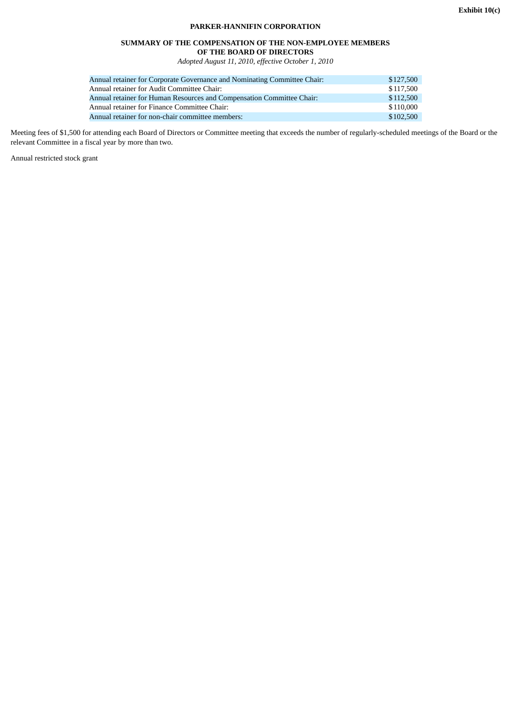## **PARKER-HANNIFIN CORPORATION**

#### **SUMMARY OF THE COMPENSATION OF THE NON-EMPLOYEE MEMBERS OF THE BOARD OF DIRECTORS**

*Adopted August 11, 2010, effective October 1, 2010*

| Annual retainer for Corporate Governance and Nominating Committee Chair: | \$127,500 |
|--------------------------------------------------------------------------|-----------|
| Annual retainer for Audit Committee Chair:                               | \$117,500 |
| Annual retainer for Human Resources and Compensation Committee Chair:    | \$112,500 |
| Annual retainer for Finance Committee Chair:                             | \$110,000 |
| Annual retainer for non-chair committee members:                         | \$102,500 |

Meeting fees of \$1,500 for attending each Board of Directors or Committee meeting that exceeds the number of regularly-scheduled meetings of the Board or the relevant Committee in a fiscal year by more than two.

Annual restricted stock grant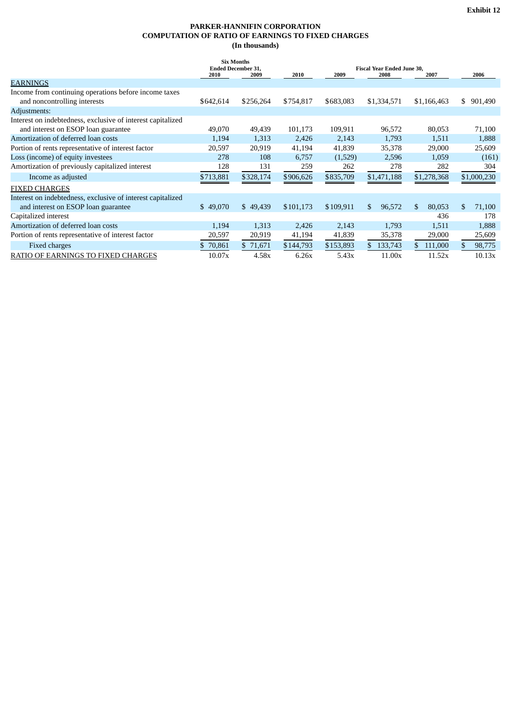## **PARKER-HANNIFIN CORPORATION COMPUTATION OF RATIO OF EARNINGS TO FIXED CHARGES (In thousands)**

|                                                             | <b>Six Months</b><br><b>Ended December 31,</b> |           |           |           | <b>Fiscal Year Ended June 30,</b> |                        |     |             |
|-------------------------------------------------------------|------------------------------------------------|-----------|-----------|-----------|-----------------------------------|------------------------|-----|-------------|
|                                                             | 2010                                           | 2009      | 2010      | 2009      | 2008                              | 2007                   |     | 2006        |
| EARNINGS                                                    |                                                |           |           |           |                                   |                        |     |             |
| Income from continuing operations before income taxes       |                                                |           |           |           |                                   |                        |     |             |
| and noncontrolling interests                                | \$642,614                                      | \$256,264 | \$754,817 | \$683,083 | \$1,334,571                       | \$1,166,463            | \$  | 901,490     |
| Adjustments:                                                |                                                |           |           |           |                                   |                        |     |             |
| Interest on indebtedness, exclusive of interest capitalized |                                                |           |           |           |                                   |                        |     |             |
| and interest on ESOP loan guarantee                         | 49,070                                         | 49,439    | 101,173   | 109,911   | 96,572                            | 80,053                 |     | 71,100      |
| Amortization of deferred loan costs                         | 1,194                                          | 1,313     | 2,426     | 2,143     | 1,793                             | 1,511                  |     | 1,888       |
| Portion of rents representative of interest factor          | 20,597                                         | 20,919    | 41,194    | 41,839    | 35,378                            | 29,000                 |     | 25,609      |
| Loss (income) of equity investees                           | 278                                            | 108       | 6,757     | (1,529)   | 2,596                             | 1,059                  |     | (161)       |
| Amortization of previously capitalized interest             | 128                                            | 131       | 259       | 262       | 278                               | 282                    |     | 304         |
| Income as adjusted                                          | \$713,881                                      | \$328,174 | \$906,626 | \$835,709 | \$1,471,188                       | \$1,278,368            |     | \$1,000,230 |
| <b>FIXED CHARGES</b>                                        |                                                |           |           |           |                                   |                        |     |             |
| Interest on indebtedness, exclusive of interest capitalized |                                                |           |           |           |                                   |                        |     |             |
| and interest on ESOP loan guarantee                         | \$49,070                                       | \$49,439  | \$101,173 | \$109,911 | 96,572<br>$\mathcal{S}$           | $\mathbf{s}$<br>80,053 | \$. | 71,100      |
| Capitalized interest                                        |                                                |           |           |           |                                   | 436                    |     | 178         |
| Amortization of deferred loan costs                         | 1,194                                          | 1,313     | 2,426     | 2,143     | 1,793                             | 1,511                  |     | 1,888       |
| Portion of rents representative of interest factor          | 20,597                                         | 20,919    | 41,194    | 41,839    | 35,378                            | 29,000                 |     | 25,609      |
| <b>Fixed charges</b>                                        | 70,861<br>\$.                                  | \$71,671  | \$144,793 | \$153,893 | 133,743                           | 111,000                | \$. | 98,775      |
| RATIO OF EARNINGS TO FIXED CHARGES                          | 10.07x                                         | 4.58x     | 6.26x     | 5.43x     | 11.00x                            | 11.52x                 |     | 10.13x      |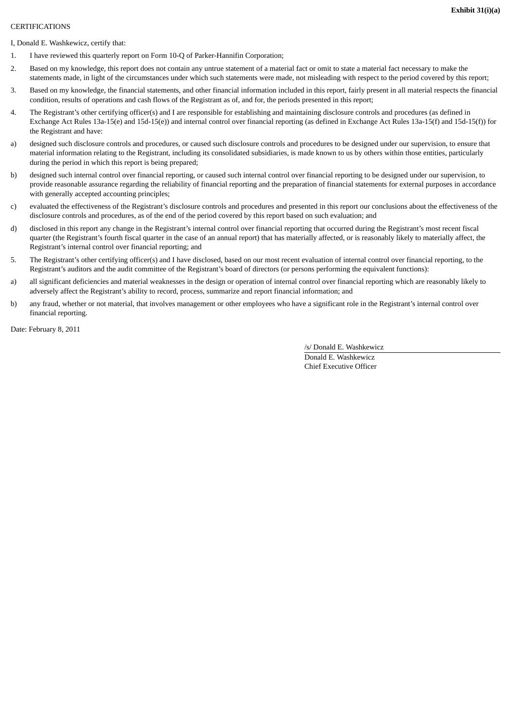#### CERTIFICATIONS

I, Donald E. Washkewicz, certify that:

- 1. I have reviewed this quarterly report on Form 10-Q of Parker-Hannifin Corporation;
- 2. Based on my knowledge, this report does not contain any untrue statement of a material fact or omit to state a material fact necessary to make the statements made, in light of the circumstances under which such statements were made, not misleading with respect to the period covered by this report;
- 3. Based on my knowledge, the financial statements, and other financial information included in this report, fairly present in all material respects the financial condition, results of operations and cash flows of the Registrant as of, and for, the periods presented in this report;
- 4. The Registrant's other certifying officer(s) and I are responsible for establishing and maintaining disclosure controls and procedures (as defined in Exchange Act Rules 13a-15(e) and 15d-15(e)) and internal control over financial reporting (as defined in Exchange Act Rules 13a-15(f) and 15d-15(f)) for the Registrant and have:
- a) designed such disclosure controls and procedures, or caused such disclosure controls and procedures to be designed under our supervision, to ensure that material information relating to the Registrant, including its consolidated subsidiaries, is made known to us by others within those entities, particularly during the period in which this report is being prepared;
- b) designed such internal control over financial reporting, or caused such internal control over financial reporting to be designed under our supervision, to provide reasonable assurance regarding the reliability of financial reporting and the preparation of financial statements for external purposes in accordance with generally accepted accounting principles;
- c) evaluated the effectiveness of the Registrant's disclosure controls and procedures and presented in this report our conclusions about the effectiveness of the disclosure controls and procedures, as of the end of the period covered by this report based on such evaluation; and
- d) disclosed in this report any change in the Registrant's internal control over financial reporting that occurred during the Registrant's most recent fiscal quarter (the Registrant's fourth fiscal quarter in the case of an annual report) that has materially affected, or is reasonably likely to materially affect, the Registrant's internal control over financial reporting; and
- 5. The Registrant's other certifying officer(s) and I have disclosed, based on our most recent evaluation of internal control over financial reporting, to the Registrant's auditors and the audit committee of the Registrant's board of directors (or persons performing the equivalent functions):
- a) all significant deficiencies and material weaknesses in the design or operation of internal control over financial reporting which are reasonably likely to adversely affect the Registrant's ability to record, process, summarize and report financial information; and
- b) any fraud, whether or not material, that involves management or other employees who have a significant role in the Registrant's internal control over financial reporting.

Date: February 8, 2011

/s/ Donald E. Washkewicz Donald E. Washkewicz Chief Executive Officer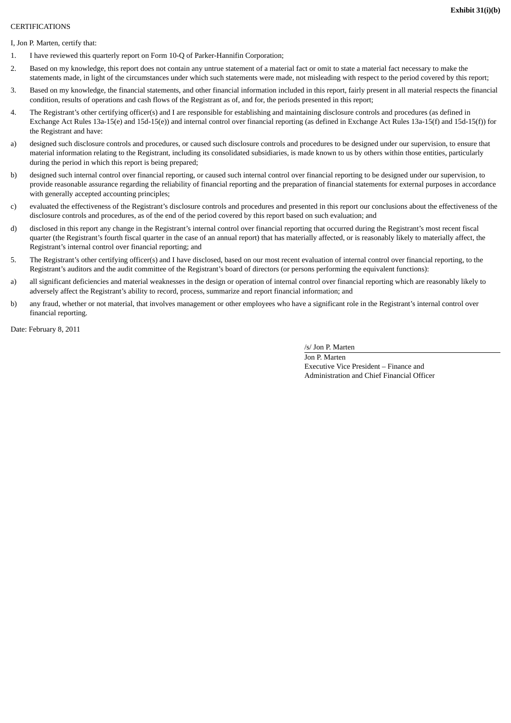#### CERTIFICATIONS

I, Jon P. Marten, certify that:

- 1. I have reviewed this quarterly report on Form 10-Q of Parker-Hannifin Corporation;
- 2. Based on my knowledge, this report does not contain any untrue statement of a material fact or omit to state a material fact necessary to make the statements made, in light of the circumstances under which such statements were made, not misleading with respect to the period covered by this report;
- 3. Based on my knowledge, the financial statements, and other financial information included in this report, fairly present in all material respects the financial condition, results of operations and cash flows of the Registrant as of, and for, the periods presented in this report;
- 4. The Registrant's other certifying officer(s) and I are responsible for establishing and maintaining disclosure controls and procedures (as defined in Exchange Act Rules 13a-15(e) and 15d-15(e)) and internal control over financial reporting (as defined in Exchange Act Rules 13a-15(f) and 15d-15(f)) for the Registrant and have:
- a) designed such disclosure controls and procedures, or caused such disclosure controls and procedures to be designed under our supervision, to ensure that material information relating to the Registrant, including its consolidated subsidiaries, is made known to us by others within those entities, particularly during the period in which this report is being prepared;
- b) designed such internal control over financial reporting, or caused such internal control over financial reporting to be designed under our supervision, to provide reasonable assurance regarding the reliability of financial reporting and the preparation of financial statements for external purposes in accordance with generally accepted accounting principles;
- c) evaluated the effectiveness of the Registrant's disclosure controls and procedures and presented in this report our conclusions about the effectiveness of the disclosure controls and procedures, as of the end of the period covered by this report based on such evaluation; and
- d) disclosed in this report any change in the Registrant's internal control over financial reporting that occurred during the Registrant's most recent fiscal quarter (the Registrant's fourth fiscal quarter in the case of an annual report) that has materially affected, or is reasonably likely to materially affect, the Registrant's internal control over financial reporting; and
- 5. The Registrant's other certifying officer(s) and I have disclosed, based on our most recent evaluation of internal control over financial reporting, to the Registrant's auditors and the audit committee of the Registrant's board of directors (or persons performing the equivalent functions):
- a) all significant deficiencies and material weaknesses in the design or operation of internal control over financial reporting which are reasonably likely to adversely affect the Registrant's ability to record, process, summarize and report financial information; and
- b) any fraud, whether or not material, that involves management or other employees who have a significant role in the Registrant's internal control over financial reporting.

Date: February 8, 2011

/s/ Jon P. Marten

Jon P. Marten Executive Vice President – Finance and Administration and Chief Financial Officer